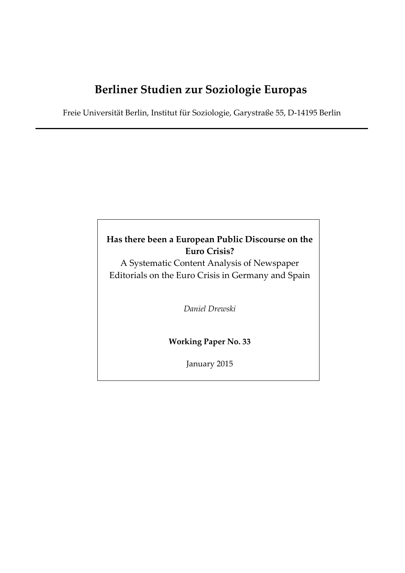# **Berliner Studien zur Soziologie Europas**

Freie Universität Berlin, Institut für Soziologie, Garystraße 55, D‐14195 Berlin

## **Has there been a European Public Discourse on the Euro Crisis?**

A Systematic Content Analysis of Newspaper Editorials on the Euro Crisis in Germany and Spain

*Daniel Drewski*

**Working Paper No. 33**

January 2015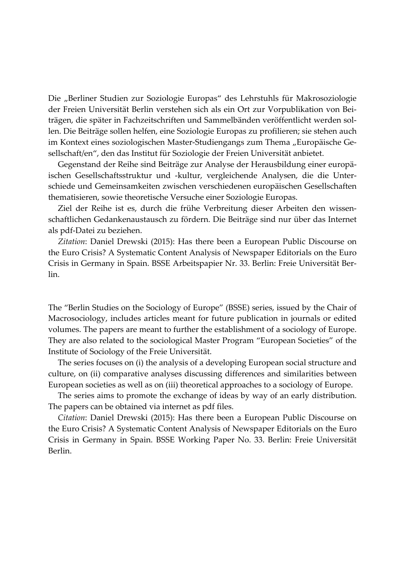Die "Berliner Studien zur Soziologie Europas" des Lehrstuhls für Makrosoziologie der Freien Universität Berlin verstehen sich als ein Ort zur Vorpublikation von Bei‐ trägen, die später in Fachzeitschriften und Sammelbänden veröffentlicht werden sol‐ len. Die Beiträge sollen helfen, eine Soziologie Europas zu profilieren; sie stehen auch im Kontext eines soziologischen Master-Studiengangs zum Thema "Europäische Gesellschaft/en", den das Institut für Soziologie der Freien Universität anbietet.

Gegenstand der Reihe sind Beiträge zur Analyse der Herausbildung einer europä‐ ischen Gesellschaftsstruktur und -kultur, vergleichende Analysen, die die Unterschiede und Gemeinsamkeiten zwischen verschiedenen europäischen Gesellschaften thematisieren, sowie theoretische Versuche einer Soziologie Europas.

Ziel der Reihe ist es, durch die frühe Verbreitung dieser Arbeiten den wissen‐ schaftlichen Gedankenaustausch zu fördern. Die Beiträge sind nur über das Internet als pdf‐Datei zu beziehen.

*Zitation*: Daniel Drewski (2015): Has there been a European Public Discourse on the Euro Crisis? A Systematic Content Analysis of Newspaper Editorials on the Euro Crisis in Germany in Spain. BSSE Arbeitspapier Nr. 33. Berlin: Freie Universität Ber‐ lin.

The "Berlin Studies on the Sociology of Europe" (BSSE) series, issued by the Chair of Macrosociology, includes articles meant for future publication in journals or edited volumes. The papers are meant to further the establishment of a sociology of Europe. They are also related to the sociological Master Program "European Societies" of the Institute of Sociology of the Freie Universität.

The series focuses on (i) the analysis of a developing European social structure and culture, on (ii) comparative analyses discussing differences and similarities between European societies as well as on (iii) theoretical approaches to a sociology of Europe.

The series aims to promote the exchange of ideas by way of an early distribution. The papers can be obtained via internet as pdf files.

*Citation*: Daniel Drewski (2015): Has there been a European Public Discourse on the Euro Crisis? A Systematic Content Analysis of Newspaper Editorials on the Euro Crisis in Germany in Spain. BSSE Working Paper No. 33. Berlin: Freie Universität Berlin.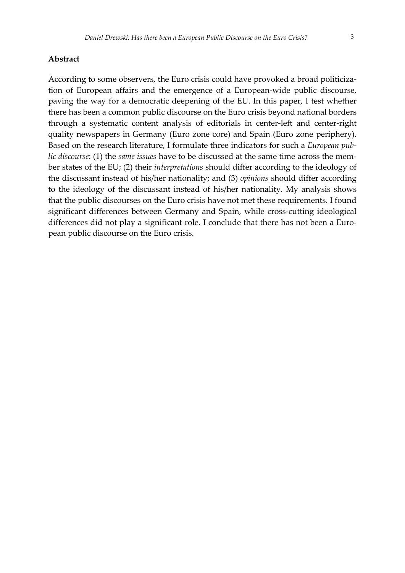#### **Abstract**

According to some observers, the Euro crisis could have provoked a broad politiciza‐ tion of European affairs and the emergence of a European‐wide public discourse, paving the way for a democratic deepening of the EU. In this paper, I test whether there has been a common public discourse on the Euro crisis beyond national borders through a systematic content analysis of editorials in center‐left and center‐right quality newspapers in Germany (Euro zone core) and Spain (Euro zone periphery). Based on the research literature, I formulate three indicators for such a *European pub‐ lic discourse*: (1) the *same issues* have to be discussed at the same time across the mem‐ ber states of the EU; (2) their *interpretations* should differ according to the ideology of the discussant instead of his/her nationality; and (3) *opinions* should differ according to the ideology of the discussant instead of his/her nationality. My analysis shows that the public discourses on the Euro crisis have not met these requirements. I found significant differences between Germany and Spain, while cross-cutting ideological differences did not play a significant role. I conclude that there has not been a European public discourse on the Euro crisis.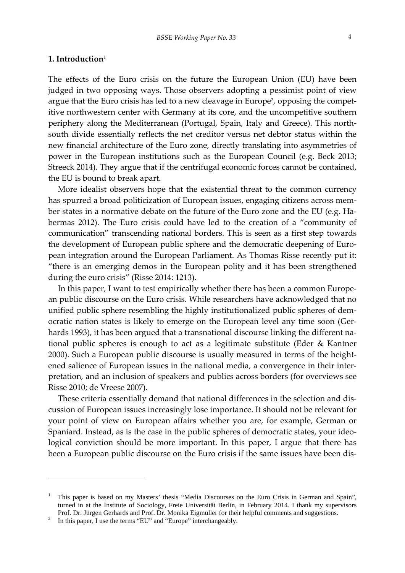#### **1. Introduction**<sup>1</sup>

The effects of the Euro crisis on the future the European Union (EU) have been judged in two opposing ways. Those observers adopting a pessimist point of view argue that the Euro crisis has led to a new cleavage in Europe<sup>2</sup>, opposing the competitive northwestern center with Germany at its core, and the uncompetitive southern periphery along the Mediterranean (Portugal, Spain, Italy and Greece). This northsouth divide essentially reflects the net creditor versus net debtor status within the new financial architecture of the Euro zone, directly translating into asymmetries of power in the European institutions such as the European Council (e.g. Beck 2013; Streeck 2014). They argue that if the centrifugal economic forces cannot be contained, the EU is bound to break apart.

More idealist observers hope that the existential threat to the common currency has spurred a broad politicization of European issues, engaging citizens across member states in a normative debate on the future of the Euro zone and the EU (e.g. Habermas 2012). The Euro crisis could have led to the creation of a "community of communication" transcending national borders. This is seen as a first step towards the development of European public sphere and the democratic deepening of European integration around the European Parliament. As Thomas Risse recently put it: "there is an emerging demos in the European polity and it has been strengthened during the euro crisis" (Risse 2014: 1213).

In this paper, I want to test empirically whether there has been a common European public discourse on the Euro crisis. While researchers have acknowledged that no unified public sphere resembling the highly institutionalized public spheres of dem‐ ocratic nation states is likely to emerge on the European level any time soon (Ger‐ hards 1993), it has been argued that a transnational discourse linking the different national public spheres is enough to act as a legitimate substitute (Eder & Kantner 2000). Such a European public discourse is usually measured in terms of the heightened salience of European issues in the national media, a convergence in their interpretation, and an inclusion of speakers and publics across borders (for overviews see Risse 2010; de Vreese 2007).

These criteria essentially demand that national differences in the selection and dis‐ cussion of European issues increasingly lose importance. It should not be relevant for your point of view on European affairs whether you are, for example, German or Spaniard. Instead, as is the case in the public spheres of democratic states, your ideological conviction should be more important. In this paper, I argue that there has been a European public discourse on the Euro crisis if the same issues have been dis-

<sup>1</sup> This paper is based on my Masters' thesis "Media Discourses on the Euro Crisis in German and Spain", turned in at the Institute of Sociology, Freie Universität Berlin, in February 2014. I thank my supervisors Prof. Dr. Jürgen Gerhards and Prof. Dr. Monika Eigmüller for their helpful comments and suggestions. 2

In this paper, I use the terms "EU" and "Europe" interchangeably.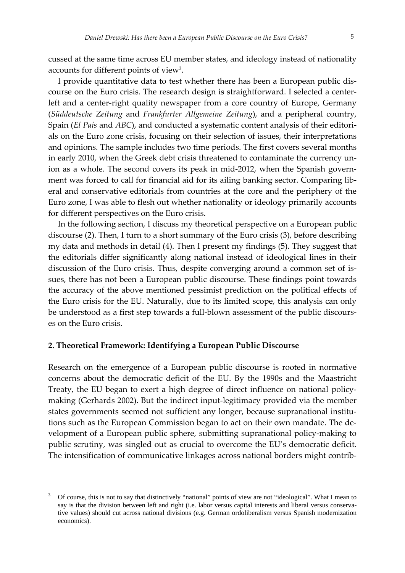cussed at the same time across EU member states, and ideology instead of nationality accounts for different points of view3.

I provide quantitative data to test whether there has been a European public dis‐ course on the Euro crisis. The research design is straightforward. I selected a center‐ left and a center-right quality newspaper from a core country of Europe, Germany (*Süddeutsche Zeitung* and *Frankfurter Allgemeine Zeitung*), and a peripheral country, Spain (*El País* and *ABC*), and conducted a systematic content analysis of their editori‐ als on the Euro zone crisis, focusing on their selection of issues, their interpretations and opinions. The sample includes two time periods. The first covers several months in early 2010, when the Greek debt crisis threatened to contaminate the currency union as a whole. The second covers its peak in mid-2012, when the Spanish government was forced to call for financial aid for its ailing banking sector. Comparing liberal and conservative editorials from countries at the core and the periphery of the Euro zone, I was able to flesh out whether nationality or ideology primarily accounts for different perspectives on the Euro crisis.

In the following section, I discuss my theoretical perspective on a European public discourse (2). Then, I turn to a short summary of the Euro crisis (3), before describing my data and methods in detail (4). Then I present my findings (5). They suggest that the editorials differ significantly along national instead of ideological lines in their discussion of the Euro crisis. Thus, despite converging around a common set of is‐ sues, there has not been a European public discourse. These findings point towards the accuracy of the above mentioned pessimist prediction on the political effects of the Euro crisis for the EU. Naturally, due to its limited scope, this analysis can only be understood as a first step towards a full-blown assessment of the public discourses on the Euro crisis.

#### **2. Theoretical Framework: Identifying a European Public Discourse**

Research on the emergence of a European public discourse is rooted in normative concerns about the democratic deficit of the EU. By the 1990s and the Maastricht Treaty, the EU began to exert a high degree of direct influence on national policy‐ making (Gerhards 2002). But the indirect input‐legitimacy provided via the member states governments seemed not sufficient any longer, because supranational institutions such as the European Commission began to act on their own mandate. The de‐ velopment of a European public sphere, submitting supranational policy-making to public scrutiny, was singled out as crucial to overcome the EU's democratic deficit. The intensification of communicative linkages across national borders might contrib‐

<sup>3</sup> Of course, this is not to say that distinctively "national" points of view are not "ideological". What I mean to say is that the division between left and right (i.e. labor versus capital interests and liberal versus conservative values) should cut across national divisions (e.g. German ordoliberalism versus Spanish modernization economics).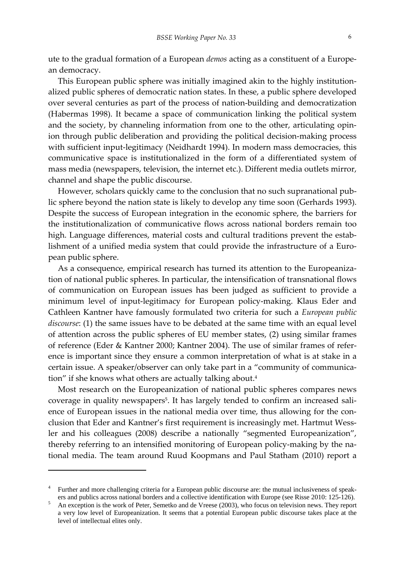ute to the gradual formation of a European *demos* acting as a constituent of a Europe‐ an democracy.

This European public sphere was initially imagined akin to the highly institution‐ alized public spheres of democratic nation states. In these, a public sphere developed over several centuries as part of the process of nation‐building and democratization (Habermas 1998). It became a space of communication linking the political system and the society, by channeling information from one to the other, articulating opinion through public deliberation and providing the political decision‐making process with sufficient input-legitimacy (Neidhardt 1994). In modern mass democracies, this communicative space is institutionalized in the form of a differentiated system of mass media (newspapers, television, the internet etc.). Different media outlets mirror, channel and shape the public discourse.

However, scholars quickly came to the conclusion that no such supranational pub‐ lic sphere beyond the nation state is likely to develop any time soon (Gerhards 1993). Despite the success of European integration in the economic sphere, the barriers for the institutionalization of communicative flows across national borders remain too high. Language differences, material costs and cultural traditions prevent the establishment of a unified media system that could provide the infrastructure of a European public sphere.

As a consequence, empirical research has turned its attention to the Europeanization of national public spheres. In particular, the intensification of transnational flows of communication on European issues has been judged as sufficient to provide a minimum level of input-legitimacy for European policy-making. Klaus Eder and Cathleen Kantner have famously formulated two criteria for such a *European public discourse*: (1) the same issues have to be debated at the same time with an equal level of attention across the public spheres of EU member states, (2) using similar frames of reference (Eder & Kantner 2000; Kantner 2004). The use of similar frames of refer‐ ence is important since they ensure a common interpretation of what is at stake in a certain issue. A speaker/observer can only take part in a "community of communication" if she knows what others are actually talking about.<sup>4</sup>

Most research on the Europeanization of national public spheres compares news coverage in quality newspapers<sup>5</sup>. It has largely tended to confirm an increased salience of European issues in the national media over time, thus allowing for the conclusion that Eder and Kantner's first requirement is increasingly met. Hartmut Wessler and his colleagues (2008) describe a nationally "segmented Europeanization", thereby referring to an intensified monitoring of European policy-making by the national media. The team around Ruud Koopmans and Paul Statham (2010) report a

<sup>4</sup> Further and more challenging criteria for a European public discourse are: the mutual inclusiveness of speakers and publics across national borders and a collective identification with Europe (see Risse 2010: 125-126).

An exception is the work of Peter, Semetko and de Vreese (2003), who focus on television news. They report a very low level of Europeanization. It seems that a potential European public discourse takes place at the level of intellectual elites only.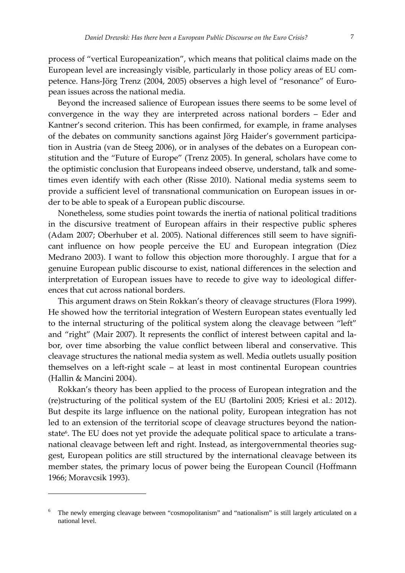process of "vertical Europeanization", which means that political claims made on the European level are increasingly visible, particularly in those policy areas of EU com‐ petence. Hans-Jörg Trenz (2004, 2005) observes a high level of "resonance" of European issues across the national media.

Beyond the increased salience of European issues there seems to be some level of convergence in the way they are interpreted across national borders – Eder and Kantner's second criterion. This has been confirmed, for example, in frame analyses of the debates on community sanctions against Jörg Haider's government participa‐ tion in Austria (van de Steeg 2006), or in analyses of the debates on a European constitution and the "Future of Europe" (Trenz 2005). In general, scholars have come to the optimistic conclusion that Europeans indeed observe, understand, talk and sometimes even identify with each other (Risse 2010). National media systems seem to provide a sufficient level of transnational communication on European issues in or‐ der to be able to speak of a European public discourse.

Nonetheless, some studies point towards the inertia of national political traditions in the discursive treatment of European affairs in their respective public spheres (Adam 2007; Oberhuber et al. 2005). National differences still seem to have signifi‐ cant influence on how people perceive the EU and European integration (Díez Medrano 2003). I want to follow this objection more thoroughly. I argue that for a genuine European public discourse to exist, national differences in the selection and interpretation of European issues have to recede to give way to ideological differ‐ ences that cut across national borders.

This argument draws on Stein Rokkan's theory of cleavage structures (Flora 1999). He showed how the territorial integration of Western European states eventually led to the internal structuring of the political system along the cleavage between "left" and "right" (Mair 2007). It represents the conflict of interest between capital and la‐ bor, over time absorbing the value conflict between liberal and conservative. This cleavage structures the national media system as well. Media outlets usually position themselves on a left‐right scale – at least in most continental European countries (Hallin & Mancini 2004).

Rokkan's theory has been applied to the process of European integration and the (re)structuring of the political system of the EU (Bartolini 2005; Kriesi et al.: 2012). But despite its large influence on the national polity, European integration has not led to an extension of the territorial scope of cleavage structures beyond the nationstate<sup>6</sup>. The EU does not yet provide the adequate political space to articulate a transnational cleavage between left and right. Instead, as intergovernmental theories suggest, European politics are still structured by the international cleavage between its member states, the primary locus of power being the European Council (Hoffmann 1966; Moravcsik 1993).

<sup>6</sup> The newly emerging cleavage between "cosmopolitanism" and "nationalism" is still largely articulated on a national level.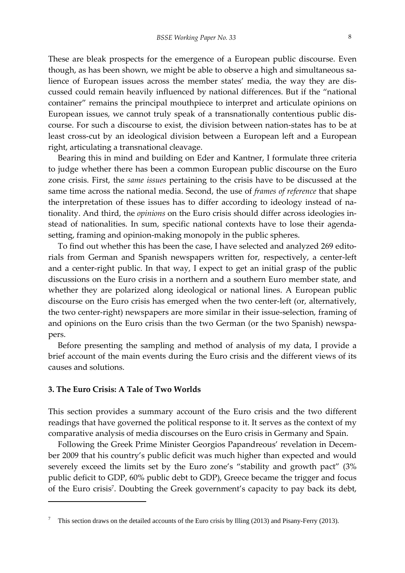These are bleak prospects for the emergence of a European public discourse. Even though, as has been shown, we might be able to observe a high and simultaneous sa‐ lience of European issues across the member states' media, the way they are dis‐ cussed could remain heavily influenced by national differences. But if the "national container" remains the principal mouthpiece to interpret and articulate opinions on European issues, we cannot truly speak of a transnationally contentious public dis‐ course. For such a discourse to exist, the division between nation‐states has to be at least cross-cut by an ideological division between a European left and a European right, articulating a transnational cleavage.

Bearing this in mind and building on Eder and Kantner, I formulate three criteria to judge whether there has been a common European public discourse on the Euro zone crisis. First, the *same issues* pertaining to the crisis have to be discussed at the same time across the national media. Second, the use of *frames of reference* that shape the interpretation of these issues has to differ according to ideology instead of na‐ tionality. And third, the *opinions* on the Euro crisis should differ across ideologies in‐ stead of nationalities. In sum, specific national contexts have to lose their agenda‐ setting, framing and opinion‐making monopoly in the public spheres.

To find out whether this has been the case, I have selected and analyzed 269 edito‐ rials from German and Spanish newspapers written for, respectively, a center‐left and a center-right public. In that way, I expect to get an initial grasp of the public discussions on the Euro crisis in a northern and a southern Euro member state, and whether they are polarized along ideological or national lines. A European public discourse on the Euro crisis has emerged when the two center‐left (or, alternatively, the two center‐right) newspapers are more similar in their issue‐selection, framing of and opinions on the Euro crisis than the two German (or the two Spanish) newspapers.

Before presenting the sampling and method of analysis of my data, I provide a brief account of the main events during the Euro crisis and the different views of its causes and solutions.

#### **3. The Euro Crisis: A Tale of Two Worlds**

This section provides a summary account of the Euro crisis and the two different readings that have governed the political response to it. It serves as the context of my comparative analysis of media discourses on the Euro crisis in Germany and Spain.

Following the Greek Prime Minister Georgios Papandreous' revelation in Decem‐ ber 2009 that his country's public deficit was much higher than expected and would severely exceed the limits set by the Euro zone's "stability and growth pact" (3% public deficit to GDP, 60% public debt to GDP), Greece became the trigger and focus of the Euro crisis<sup>7</sup>. Doubting the Greek government's capacity to pay back its debt,

<sup>7</sup> This section draws on the detailed accounts of the Euro crisis by Illing (2013) and Pisany-Ferry (2013).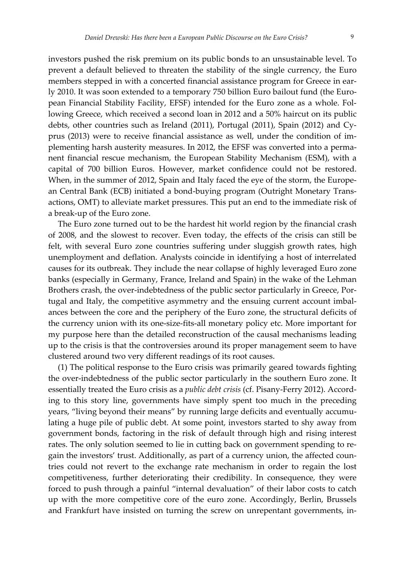investors pushed the risk premium on its public bonds to an unsustainable level. To prevent a default believed to threaten the stability of the single currency, the Euro members stepped in with a concerted financial assistance program for Greece in early 2010. It was soon extended to a temporary 750 billion Euro bailout fund (the Euro‐ pean Financial Stability Facility, EFSF) intended for the Euro zone as a whole. Fol‐ lowing Greece, which received a second loan in 2012 and a 50% haircut on its public debts, other countries such as Ireland (2011), Portugal (2011), Spain (2012) and Cy‐ prus (2013) were to receive financial assistance as well, under the condition of im‐ plementing harsh austerity measures. In 2012, the EFSF was converted into a perma‐ nent financial rescue mechanism, the European Stability Mechanism (ESM), with a capital of 700 billion Euros. However, market confidence could not be restored. When, in the summer of 2012, Spain and Italy faced the eye of the storm, the European Central Bank (ECB) initiated a bond‐buying program (Outright Monetary Trans‐ actions, OMT) to alleviate market pressures. This put an end to the immediate risk of a break‐up of the Euro zone.

The Euro zone turned out to be the hardest hit world region by the financial crash of 2008, and the slowest to recover. Even today, the effects of the crisis can still be felt, with several Euro zone countries suffering under sluggish growth rates, high unemployment and deflation. Analysts coincide in identifying a host of interrelated causes for its outbreak. They include the near collapse of highly leveraged Euro zone banks (especially in Germany, France, Ireland and Spain) in the wake of the Lehman Brothers crash, the over-indebtedness of the public sector particularly in Greece, Portugal and Italy, the competitive asymmetry and the ensuing current account imbalances between the core and the periphery of the Euro zone, the structural deficits of the currency union with its one‐size‐fits‐all monetary policy etc. More important for my purpose here than the detailed reconstruction of the causal mechanisms leading up to the crisis is that the controversies around its proper management seem to have clustered around two very different readings of its root causes.

(1) The political response to the Euro crisis was primarily geared towards fighting the over‐indebtedness of the public sector particularly in the southern Euro zone. It essentially treated the Euro crisis as a *public debt crisis* (cf. Pisany‐Ferry 2012). Accord‐ ing to this story line, governments have simply spent too much in the preceding years, "living beyond their means" by running large deficits and eventually accumu‐ lating a huge pile of public debt. At some point, investors started to shy away from government bonds, factoring in the risk of default through high and rising interest rates. The only solution seemed to lie in cutting back on government spending to regain the investors' trust. Additionally, as part of a currency union, the affected countries could not revert to the exchange rate mechanism in order to regain the lost competitiveness, further deteriorating their credibility. In consequence, they were forced to push through a painful "internal devaluation" of their labor costs to catch up with the more competitive core of the euro zone. Accordingly, Berlin, Brussels and Frankfurt have insisted on turning the screw on unrepentant governments, in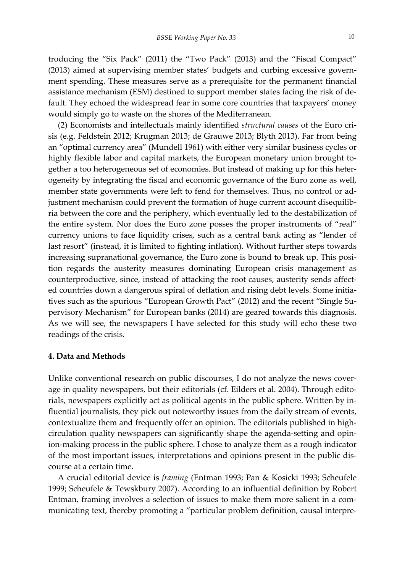troducing the "Six Pack" (2011) the "Two Pack" (2013) and the "Fiscal Compact" (2013) aimed at supervising member states' budgets and curbing excessive govern‐ ment spending. These measures serve as a prerequisite for the permanent financial assistance mechanism (ESM) destined to support member states facing the risk of de‐ fault. They echoed the widespread fear in some core countries that taxpayers' money would simply go to waste on the shores of the Mediterranean.

(2) Economists and intellectuals mainly identified *structural causes* of the Euro cri‐ sis (e.g. Feldstein 2012; Krugman 2013; de Grauwe 2013; Blyth 2013). Far from being an "optimal currency area" (Mundell 1961) with either very similar business cycles or highly flexible labor and capital markets, the European monetary union brought together a too heterogeneous set of economies. But instead of making up for this heter‐ ogeneity by integrating the fiscal and economic governance of the Euro zone as well, member state governments were left to fend for themselves. Thus, no control or adjustment mechanism could prevent the formation of huge current account disequilibria between the core and the periphery, which eventually led to the destabilization of the entire system. Nor does the Euro zone posses the proper instruments of "real" currency unions to face liquidity crises, such as a central bank acting as "lender of last resort" (instead, it is limited to fighting inflation). Without further steps towards increasing supranational governance, the Euro zone is bound to break up. This position regards the austerity measures dominating European crisis management as counterproductive, since, instead of attacking the root causes, austerity sends affected countries down a dangerous spiral of deflation and rising debt levels. Some initia‐ tives such as the spurious "European Growth Pact" (2012) and the recent "Single Supervisory Mechanism" for European banks (2014) are geared towards this diagnosis. As we will see, the newspapers I have selected for this study will echo these two readings of the crisis.

#### **4. Data and Methods**

Unlike conventional research on public discourses, I do not analyze the news coverage in quality newspapers, but their editorials (cf. Eilders et al. 2004). Through edito‐ rials, newspapers explicitly act as political agents in the public sphere. Written by in‐ fluential journalists, they pick out noteworthy issues from the daily stream of events, contextualize them and frequently offer an opinion. The editorials published in highcirculation quality newspapers can significantly shape the agenda‐setting and opin‐ ion‐making process in the public sphere. I chose to analyze them as a rough indicator of the most important issues, interpretations and opinions present in the public dis‐ course at a certain time.

A crucial editorial device is *framing* (Entman 1993; Pan & Kosicki 1993; Scheufele 1999; Scheufele & Tewskbury 2007). According to an influential definition by Robert Entman, framing involves a selection of issues to make them more salient in a com‐ municating text, thereby promoting a "particular problem definition, causal interpre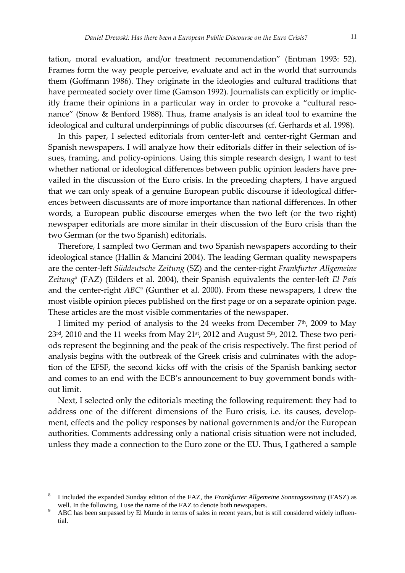tation, moral evaluation, and/or treatment recommendation" (Entman 1993: 52). Frames form the way people perceive, evaluate and act in the world that surrounds them (Goffmann 1986). They originate in the ideologies and cultural traditions that have permeated society over time (Gamson 1992). Journalists can explicitly or implicitly frame their opinions in a particular way in order to provoke a "cultural reso‐ nance" (Snow & Benford 1988). Thus, frame analysis is an ideal tool to examine the ideological and cultural underpinnings of public discourses (cf. Gerhards et al. 1998).

In this paper, I selected editorials from center‐left and center‐right German and Spanish newspapers. I will analyze how their editorials differ in their selection of is‐ sues, framing, and policy-opinions. Using this simple research design, I want to test whether national or ideological differences between public opinion leaders have prevailed in the discussion of the Euro crisis. In the preceding chapters, I have argued that we can only speak of a genuine European public discourse if ideological differ‐ ences between discussants are of more importance than national differences. In other words, a European public discourse emerges when the two left (or the two right) newspaper editorials are more similar in their discussion of the Euro crisis than the two German (or the two Spanish) editorials.

Therefore, I sampled two German and two Spanish newspapers according to their ideological stance (Hallin & Mancini 2004). The leading German quality newspapers are the center‐left *Süddeutsche Zeitung* (SZ) and the center‐right *Frankfurter Allgemeine Zeitung8* (FAZ) (Eilders et al. 2004), their Spanish equivalents the center‐left *El País* and the center-right *ABC<sup>9</sup>* (Gunther et al. 2000). From these newspapers, I drew the most visible opinion pieces published on the first page or on a separate opinion page. These articles are the most visible commentaries of the newspaper.

I limited my period of analysis to the 24 weeks from December 7<sup>th</sup>, 2009 to May  $23<sup>rd</sup>$ , 2010 and the 11 weeks from May 21<sup>st</sup>, 2012 and August 5<sup>th</sup>, 2012. These two periods represent the beginning and the peak of the crisis respectively. The first period of analysis begins with the outbreak of the Greek crisis and culminates with the adoption of the EFSF, the second kicks off with the crisis of the Spanish banking sector and comes to an end with the ECB's announcement to buy government bonds without limit.

Next, I selected only the editorials meeting the following requirement: they had to address one of the different dimensions of the Euro crisis, i.e. its causes, development, effects and the policy responses by national governments and/or the European authorities. Comments addressing only a national crisis situation were not included, unless they made a connection to the Euro zone or the EU. Thus, I gathered a sample

<sup>8</sup> I included the expanded Sunday edition of the FAZ, the *Frankfurter Allgemeine Sonntagszeitung* (FASZ) as well. In the following, I use the name of the FAZ to denote both newspapers.<br><sup>9</sup> ADG has hear numerosed by El Munda in terms of sales in general types, but it

ABC has been surpassed by El Mundo in terms of sales in recent years, but is still considered widely influential.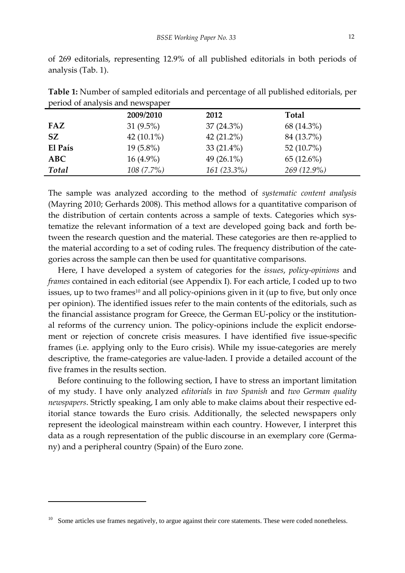of 269 editorials, representing 12.9% of all published editorials in both periods of analysis (Tab. 1).

|         | 2009/2010     | 2012           | <b>Total</b>  |  |
|---------|---------------|----------------|---------------|--|
| FAZ     | 31 $(9.5\%)$  | $37(24.3\%)$   | 68 (14.3%)    |  |
| SZ      | 42 $(10.1\%)$ | 42 $(21.2\%)$  | 84 (13.7%)    |  |
| El País | $19(5.8\%)$   | 33 $(21.4\%)$  | 52 $(10.7\%)$ |  |
| ABC     | $16(4.9\%)$   | 49 $(26.1\%)$  | $65(12.6\%)$  |  |
| Total   | $108(7.7\%)$  | $161 (23.3\%)$ | $269(12.9\%)$ |  |

**Table 1:** Number of sampled editorials and percentage of all published editorials, per period of analysis and newspaper

The sample was analyzed according to the method of *systematic content analysis* (Mayring 2010; Gerhards 2008). This method allows for a quantitative comparison of the distribution of certain contents across a sample of texts. Categories which systematize the relevant information of a text are developed going back and forth be‐ tween the research question and the material. These categories are then re‐applied to the material according to a set of coding rules. The frequency distribution of the cate‐ gories across the sample can then be used for quantitative comparisons.

Here, I have developed a system of categories for the *issues*, *policy‐opinions* and *frames* contained in each editorial (see Appendix I). For each article, I coded up to two issues, up to two frames<sup>10</sup> and all policy-opinions given in it (up to five, but only once per opinion). The identified issues refer to the main contents of the editorials, such as the financial assistance program for Greece, the German EU‐policy or the institution‐ al reforms of the currency union. The policy‐opinions include the explicit endorse‐ ment or rejection of concrete crisis measures. I have identified five issue-specific frames (i.e. applying only to the Euro crisis). While my issue‐categories are merely descriptive, the frame‐categories are value‐laden. I provide a detailed account of the five frames in the results section.

Before continuing to the following section, I have to stress an important limitation of my study. I have only analyzed *editorials* in *two Spanish* and *two German quality newspapers*. Strictly speaking, I am only able to make claims about their respective ed‐ itorial stance towards the Euro crisis. Additionally, the selected newspapers only represent the ideological mainstream within each country. However, I interpret this data as a rough representation of the public discourse in an exemplary core (Germany) and a peripheral country (Spain) of the Euro zone.

Some articles use frames negatively, to argue against their core statements. These were coded nonetheless.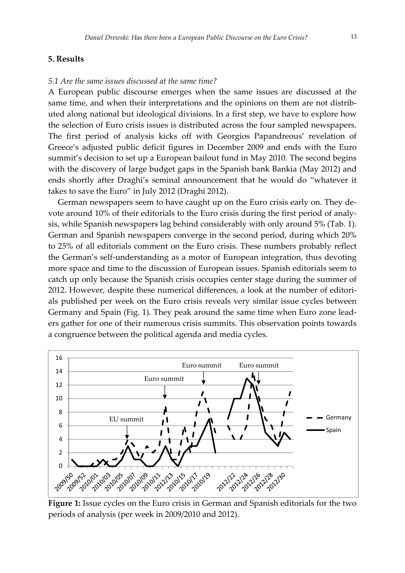#### **5. Results**

#### *5.1 Are the same issues discussed at the same time?*

A European public discourse emerges when the same issues are discussed at the same time, and when their interpretations and the opinions on them are not distributed along national but ideological divisions. In a first step, we have to explore how the selection of Euro crisis issues is distributed across the four sampled newspapers. The first period of analysis kicks off with Georgios Papandreous' revelation of Greece's adjusted public deficit figures in December 2009 and ends with the Euro summit's decision to set up a European bailout fund in May 2010. The second begins with the discovery of large budget gaps in the Spanish bank Bankia (May 2012) and ends shortly after Draghi's seminal announcement that he would do "whatever it takes to save the Euro" in July 2012 (Draghi 2012).

German newspapers seem to have caught up on the Euro crisis early on. They de‐ vote around 10% of their editorials to the Euro crisis during the first period of analy‐ sis, while Spanish newspapers lag behind considerably with only around 5% (Tab. 1). German and Spanish newspapers converge in the second period, during which 20% to 25% of all editorials comment on the Euro crisis. These numbers probably reflect the German's self‐understanding as a motor of European integration, thus devoting more space and time to the discussion of European issues. Spanish editorials seem to catch up only because the Spanish crisis occupies center stage during the summer of 2012. However, despite these numerical differences, a look at the number of editori‐ als published per week on the Euro crisis reveals very similar issue cycles between Germany and Spain (Fig. 1). They peak around the same time when Euro zone lead‐ ers gather for one of their numerous crisis summits. This observation points towards a congruence between the political agenda and media cycles.



**Figure 1:** Issue cycles on the Euro crisis in German and Spanish editorials for the two periods of analysis (per week in 2009/2010 and 2012).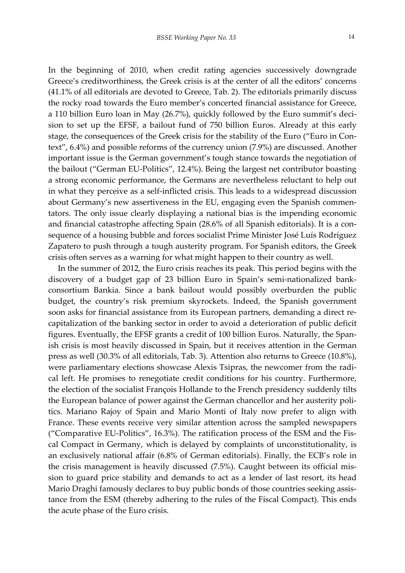In the beginning of 2010, when credit rating agencies successively downgrade Greece's creditworthiness, the Greek crisis is at the center of all the editors' concerns (41.1% of all editorials are devoted to Greece, Tab. 2). The editorials primarily discuss the rocky road towards the Euro member's concerted financial assistance for Greece, a 110 billion Euro loan in May (26.7%), quickly followed by the Euro summit's deci‐ sion to set up the EFSF, a bailout fund of 750 billion Euros. Already at this early stage, the consequences of the Greek crisis for the stability of the Euro ("Euro in Context", 6.4%) and possible reforms of the currency union (7.9%) are discussed. Another important issue is the German government's tough stance towards the negotiation of the bailout ("German EU‐Politics", 12.4%). Being the largest net contributor boasting a strong economic performance, the Germans are nevertheless reluctant to help out in what they perceive as a self‐inflicted crisis. This leads to a widespread discussion about Germany's new assertiveness in the EU, engaging even the Spanish commen‐ tators. The only issue clearly displaying a national bias is the impending economic and financial catastrophe affecting Spain (28.6% of all Spanish editorials). It is a consequence of a housing bubble and forces socialist Prime Minister José Luís Rodríguez Zapatero to push through a tough austerity program. For Spanish editors, the Greek crisis often serves as a warning for what might happen to their country as well.

In the summer of 2012, the Euro crisis reaches its peak. This period begins with the discovery of a budget gap of 23 billion Euro in Spain's semi-nationalized bankconsortium Bankia. Since a bank bailout would possibly overburden the public budget, the country's risk premium skyrockets. Indeed, the Spanish government soon asks for financial assistance from its European partners, demanding a direct recapitalization of the banking sector in order to avoid a deterioration of public deficit figures. Eventually, the EFSF grants a credit of 100 billion Euros. Naturally, the Span‐ ish crisis is most heavily discussed in Spain, but it receives attention in the German press as well (30.3% of all editorials, Tab. 3). Attention also returns to Greece (10.8%), were parliamentary elections showcase Alexis Tsipras, the newcomer from the radical left. He promises to renegotiate credit conditions for his country. Furthermore, the election of the socialist François Hollande to the French presidency suddenly tilts the European balance of power against the German chancellor and her austerity politics. Mariano Rajoy of Spain and Mario Monti of Italy now prefer to align with France. These events receive very similar attention across the sampled newspapers ("Comparative EU‐Politics", 16.3%). The ratification process of the ESM and the Fis‐ cal Compact in Germany, which is delayed by complaints of unconstitutionality, is an exclusively national affair (6.8% of German editorials). Finally, the ECB's role in the crisis management is heavily discussed (7.5%). Caught between its official mis‐ sion to guard price stability and demands to act as a lender of last resort, its head Mario Draghi famously declares to buy public bonds of those countries seeking assistance from the ESM (thereby adhering to the rules of the Fiscal Compact). This ends the acute phase of the Euro crisis.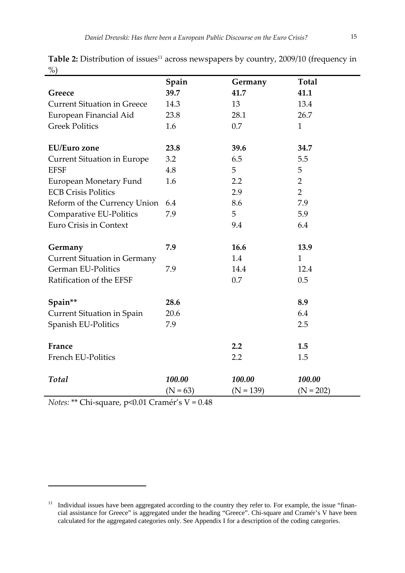|                                     | Spain      | Germany     | <b>Total</b>   |
|-------------------------------------|------------|-------------|----------------|
| Greece                              | 39.7       | 41.7        | 41.1           |
| <b>Current Situation in Greece</b>  | 14.3       | 13          | 13.4           |
| European Financial Aid              | 23.8       | 28.1        | 26.7           |
| <b>Greek Politics</b>               | 1.6        | 0.7         | $\mathbf{1}$   |
| <b>EU/Euro</b> zone                 | 23.8       | 39.6        | 34.7           |
| <b>Current Situation in Europe</b>  | 3.2        | 6.5         | 5.5            |
| <b>EFSF</b>                         | 4.8        | 5           | 5              |
| European Monetary Fund              | 1.6        | 2.2         | $\overline{2}$ |
| <b>ECB Crisis Politics</b>          |            | 2.9         | $\overline{2}$ |
| Reform of the Currency Union        | 6.4        | 8.6         | 7.9            |
| Comparative EU-Politics             | 7.9        | 5           | 5.9            |
| Euro Crisis in Context              |            | 9.4         | 6.4            |
| Germany                             | 7.9        | 16.6        | 13.9           |
| <b>Current Situation in Germany</b> |            | 1.4         | $\mathbf{1}$   |
| <b>German EU-Politics</b>           | 7.9        | 14.4        | 12.4           |
| Ratification of the EFSF            |            | 0.7         | 0.5            |
|                                     |            |             |                |
| Spain**                             | 28.6       |             | 8.9            |
| <b>Current Situation in Spain</b>   | 20.6       |             | 6.4            |
| Spanish EU-Politics                 | 7.9        |             | 2.5            |
| France                              |            | 2.2         | 1.5            |
| French EU-Politics                  |            | 2.2         | 1.5            |
| Total                               | 100.00     | 100.00      | 100.00         |
|                                     | $(N = 63)$ | $(N = 139)$ | $(N = 202)$    |

Table 2: Distribution of issues<sup>11</sup> across newspapers by country, 2009/10 (frequency in  $\%$ 

*Notes:* \*\* Chi-square, p<0.01 Cramér's V = 0.48

J.

<sup>&</sup>lt;sup>11</sup> Individual issues have been aggregated according to the country they refer to. For example, the issue "financial assistance for Greece" is aggregated under the heading "Greece". Chi-square and Cramér's V have been calculated for the aggregated categories only. See Appendix I for a description of the coding categories.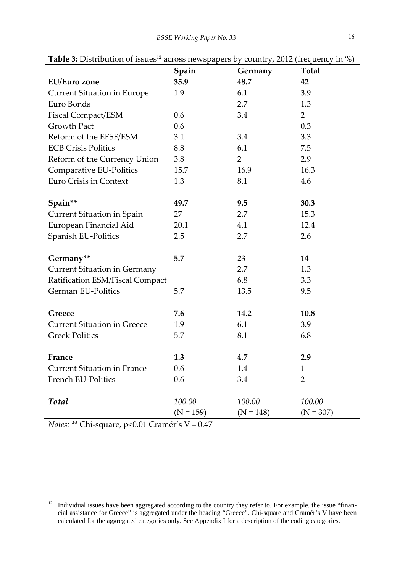|                                     | Spain       | Germany        | <b>Total</b>   |
|-------------------------------------|-------------|----------------|----------------|
| <b>EU/Euro zone</b>                 | 35.9        | 48.7           | 42             |
| <b>Current Situation in Europe</b>  | 1.9         | 6.1            | 3.9            |
| Euro Bonds                          |             | 2.7            | 1.3            |
| <b>Fiscal Compact/ESM</b>           | 0.6         | 3.4            | $\overline{2}$ |
| <b>Growth Pact</b>                  | 0.6         |                | 0.3            |
| Reform of the EFSF/ESM              | 3.1         | 3.4            | 3.3            |
| <b>ECB Crisis Politics</b>          | 8.8         | 6.1            | 7.5            |
| Reform of the Currency Union        | 3.8         | $\overline{2}$ | 2.9            |
| Comparative EU-Politics             | 15.7        | 16.9           | 16.3           |
| <b>Euro Crisis in Context</b>       | 1.3         | 8.1            | 4.6            |
|                                     |             |                |                |
| Spain**                             | 49.7        | 9.5            | 30.3           |
| <b>Current Situation in Spain</b>   | 27          | 2.7            | 15.3           |
| European Financial Aid              | 20.1        | 4.1            | 12.4           |
| Spanish EU-Politics                 | 2.5         | 2.7            | 2.6            |
|                                     |             |                |                |
| Germany**                           | 5.7         | 23             | 14             |
| <b>Current Situation in Germany</b> |             | 2.7            | 1.3            |
| Ratification ESM/Fiscal Compact     |             | 6.8            | 3.3            |
| German EU-Politics                  | 5.7         | 13.5           | 9.5            |
|                                     |             |                |                |
| Greece                              | 7.6         | 14.2           | 10.8           |
| <b>Current Situation in Greece</b>  | 1.9         | 6.1            | 3.9            |
| <b>Greek Politics</b>               | 5.7         | 8.1            | 6.8            |
|                                     |             |                |                |
| France                              | 1.3         | 4.7            | 2.9            |
| <b>Current Situation in France</b>  | 0.6         | 1.4            | $\mathbf{1}$   |
| French EU-Politics                  | 0.6         | 3.4            | $\overline{2}$ |
|                                     |             |                |                |
| <b>Total</b>                        | 100.00      | 100.00         | 100.00         |
|                                     | $(N = 159)$ | $(N = 148)$    | $(N = 307)$    |

**Table 3:** Distribution of issues<sup>12</sup> across newspapers by country, 2012 (frequency in %)

*Notes: \**\* Chi‐square, p<0.01 Cramér's V = 0.47

<sup>&</sup>lt;sup>12</sup> Individual issues have been aggregated according to the country they refer to. For example, the issue "financial assistance for Greece" is aggregated under the heading "Greece". Chi-square and Cramér's V have been calculated for the aggregated categories only. See Appendix I for a description of the coding categories.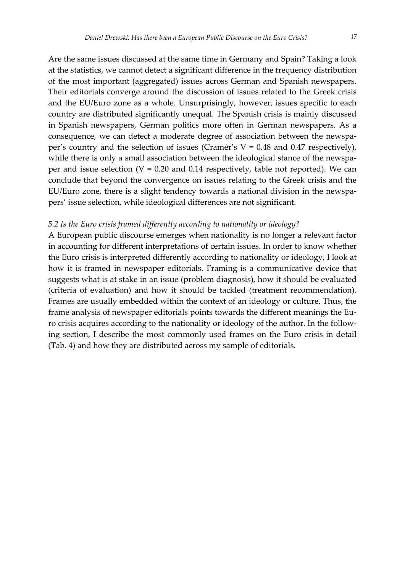Are the same issues discussed at the same time in Germany and Spain? Taking a look at the statistics, we cannot detect a significant difference in the frequency distribution of the most important (aggregated) issues across German and Spanish newspapers. Their editorials converge around the discussion of issues related to the Greek crisis and the EU/Euro zone as a whole. Unsurprisingly, however, issues specific to each country are distributed significantly unequal. The Spanish crisis is mainly discussed in Spanish newspapers, German politics more often in German newspapers. As a consequence, we can detect a moderate degree of association between the newspa‐ per's country and the selection of issues (Cramér's  $V = 0.48$  and 0.47 respectively), while there is only a small association between the ideological stance of the newspaper and issue selection ( $V = 0.20$  and 0.14 respectively, table not reported). We can conclude that beyond the convergence on issues relating to the Greek crisis and the EU/Euro zone, there is a slight tendency towards a national division in the newspa‐ pers' issue selection, while ideological differences are not significant.

#### *5.2 Is the Euro crisis framed differently according to nationality or ideology?*

A European public discourse emerges when nationality is no longer a relevant factor in accounting for different interpretations of certain issues. In order to know whether the Euro crisis is interpreted differently according to nationality or ideology, I look at how it is framed in newspaper editorials. Framing is a communicative device that suggests what is at stake in an issue (problem diagnosis), how it should be evaluated (criteria of evaluation) and how it should be tackled (treatment recommendation). Frames are usually embedded within the context of an ideology or culture. Thus, the frame analysis of newspaper editorials points towards the different meanings the Eu‐ ro crisis acquires according to the nationality or ideology of the author. In the follow‐ ing section, I describe the most commonly used frames on the Euro crisis in detail (Tab. 4) and how they are distributed across my sample of editorials.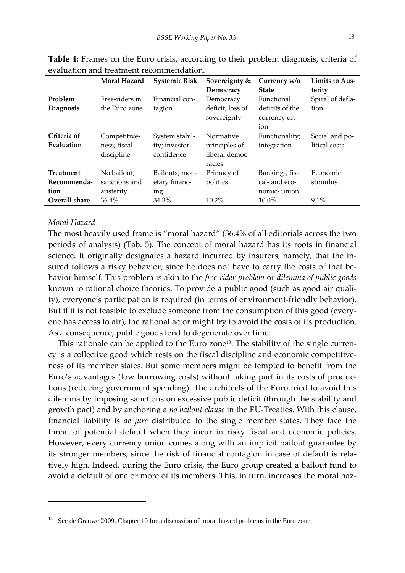|                                 | Moral Hazard                               | <b>Systemic Risk</b>                          | Sovereignty &<br>Democracy                             | Currency w/o<br><b>State</b>                         | Limits to Aus-<br>terity        |
|---------------------------------|--------------------------------------------|-----------------------------------------------|--------------------------------------------------------|------------------------------------------------------|---------------------------------|
| Problem<br>Diagnosis            | Free-riders in<br>the Euro zone            | Financial con-<br>tagion                      | Democracy<br>deficit; loss of<br>sovereignty           | Functional<br>deficits of the<br>currency un-<br>ion | Spiral of defla-<br>tion        |
| Criteria of<br>Evaluation       | Competitive-<br>ness; fiscal<br>discipline | System stabil-<br>ity; investor<br>confidence | Normative<br>principles of<br>liberal democ-<br>racies | Functionality;<br>integration                        | Social and po-<br>litical costs |
| <b>Treatment</b><br>Recommenda- | No bailout:<br>sanctions and               | Bailouts; mon-<br>etary financ-               | Primacy of<br>politics                                 | Banking-, fis-<br>cal- and eco-                      | Economic<br>stimulus            |
| tion<br>Overall share           | austerity<br>36.4%                         | ing<br>34.3%                                  | $10.2\%$                                               | nomic-union<br>$10.0\%$                              | $9.1\%$                         |

**Table 4:** Frames on the Euro crisis, according to their problem diagnosis, criteria of evaluation and treatment recommendation.

#### *Moral Hazard*

The most heavily used frame is "moral hazard" (36.4% of all editorials across the two periods of analysis) (Tab. 5). The concept of moral hazard has its roots in financial science. It originally designates a hazard incurred by insurers, namely, that the insured follows a risky behavior, since he does not have to carry the costs of that behavior himself. This problem is akin to the *free‐rider‐problem* or *dilemma of public goods* known to rational choice theories. To provide a public good (such as good air quality), everyone's participation is required (in terms of environment‐friendly behavior). But if it is not feasible to exclude someone from the consumption of this good (everyone has access to air), the rational actor might try to avoid the costs of its production. As a consequence, public goods tend to degenerate over time.

This rationale can be applied to the Euro zone<sup>13</sup>. The stability of the single currency is a collective good which rests on the fiscal discipline and economic competitive‐ ness of its member states. But some members might be tempted to benefit from the Euro's advantages (low borrowing costs) without taking part in its costs of produc‐ tions (reducing government spending). The architects of the Euro tried to avoid this dilemma by imposing sanctions on excessive public deficit (through the stability and growth pact) and by anchoring a *no bailout clause* in the EU‐Treaties. With this clause, financial liability is *de jure* distributed to the single member states. They face the threat of potential default when they incur in risky fiscal and economic policies. However, every currency union comes along with an implicit bailout guarantee by its stronger members, since the risk of financial contagion in case of default is relatively high. Indeed, during the Euro crisis, the Euro group created a bailout fund to avoid a default of one or more of its members. This, in turn, increases the moral haz-

<sup>&</sup>lt;sup>13</sup> See de Grauwe 2009, Chapter 10 for a discussion of moral hazard problems in the Euro zone.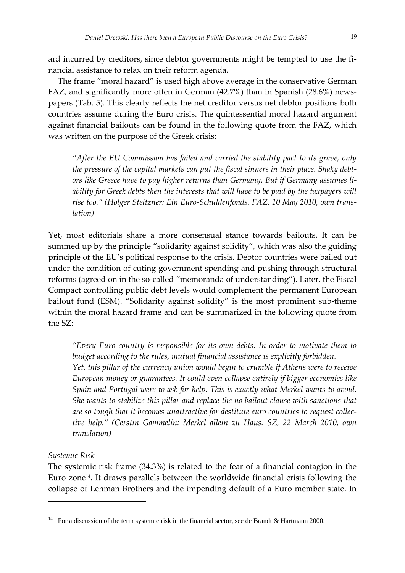ard incurred by creditors, since debtor governments might be tempted to use the financial assistance to relax on their reform agenda.

The frame "moral hazard" is used high above average in the conservative German FAZ, and significantly more often in German (42.7%) than in Spanish (28.6%) news‐ papers (Tab. 5). This clearly reflects the net creditor versus net debtor positions both countries assume during the Euro crisis. The quintessential moral hazard argument against financial bailouts can be found in the following quote from the FAZ, which was written on the purpose of the Greek crisis:

*"After the EU Commission has failed and carried the stability pact to its grave, only the pressure of the capital markets can put the fiscal sinners in their place. Shaky debt‐ ors like Greece have to pay higher returns than Germany. But if Germany assumes li‐ ability for Greek debts then the interests that will have to be paid by the taxpayers will rise too." (Holger Steltzner: Ein Euro‐Schuldenfonds. FAZ, 10 May 2010, own trans‐ lation)*

Yet, most editorials share a more consensual stance towards bailouts. It can be summed up by the principle "solidarity against solidity", which was also the guiding principle of the EU's political response to the crisis. Debtor countries were bailed out under the condition of cuting government spending and pushing through structural reforms (agreed on in the so-called "memoranda of understanding"). Later, the Fiscal Compact controlling public debt levels would complement the permanent European bailout fund (ESM). "Solidarity against solidity" is the most prominent sub‐theme within the moral hazard frame and can be summarized in the following quote from the SZ:

*"Every Euro country is responsible for its own debts. In order to motivate them to budget according to the rules, mutual financial assistance is explicitly forbidden. Yet, this pillar of the currency union would begin to crumble if Athens were to receive European money or guarantees. It could even collapse entirely if bigger economies like Spain and Portugal were to ask for help. This is exactly what Merkel wants to avoid. She wants to stabilize this pillar and replace the no bailout clause with sanctions that are so tough that it becomes unattractive for destitute euro countries to request collec‐ tive help." (Cerstin Gammelin: Merkel allein zu Haus. SZ, 22 March 2010, own translation)*

#### *Systemic Risk*

The systemic risk frame (34.3%) is related to the fear of a financial contagion in the Euro zone<sup>14</sup>. It draws parallels between the worldwide financial crisis following the collapse of Lehman Brothers and the impending default of a Euro member state. In

<sup>&</sup>lt;sup>14</sup> For a discussion of the term systemic risk in the financial sector, see de Brandt & Hartmann 2000.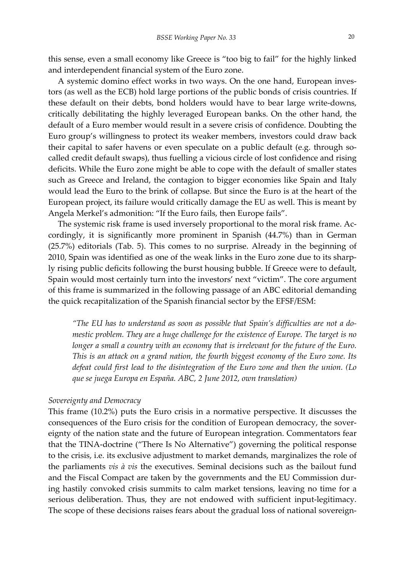this sense, even a small economy like Greece is "too big to fail" for the highly linked and interdependent financial system of the Euro zone.

A systemic domino effect works in two ways. On the one hand, European inves‐ tors (as well as the ECB) hold large portions of the public bonds of crisis countries. If these default on their debts, bond holders would have to bear large write‐downs, critically debilitating the highly leveraged European banks. On the other hand, the default of a Euro member would result in a severe crisis of confidence. Doubting the Euro group's willingness to protect its weaker members, investors could draw back their capital to safer havens or even speculate on a public default (e.g. through socalled credit default swaps), thus fuelling a vicious circle of lost confidence and rising deficits. While the Euro zone might be able to cope with the default of smaller states such as Greece and Ireland, the contagion to bigger economies like Spain and Italy would lead the Euro to the brink of collapse. But since the Euro is at the heart of the European project, its failure would critically damage the EU as well. This is meant by Angela Merkel's admonition: "If the Euro fails, then Europe fails".

The systemic risk frame is used inversely proportional to the moral risk frame. Accordingly, it is significantly more prominent in Spanish (44.7%) than in German (25.7%) editorials (Tab. 5). This comes to no surprise. Already in the beginning of 2010, Spain was identified as one of the weak links in the Euro zone due to its sharply rising public deficits following the burst housing bubble. If Greece were to default, Spain would most certainly turn into the investors' next "victim". The core argument of this frame is summarized in the following passage of an ABC editorial demanding the quick recapitalization of the Spanish financial sector by the EFSF/ESM:

*"The EU has to understand as soon as possible that Spain's difficulties are not a do‐ mestic problem. They are a huge challenge for the existence of Europe. The target is no longer a small a country with an economy that is irrelevant for the future of the Euro. This is an attack on a grand nation, the fourth biggest economy of the Euro zone. Its defeat could first lead to the disintegration of the Euro zone and then the union. (Lo que se juega Europa en España. ABC, 2 June 2012, own translation)*

#### *Sovereignty and Democracy*

This frame (10.2%) puts the Euro crisis in a normative perspective. It discusses the consequences of the Euro crisis for the condition of European democracy, the sovereignty of the nation state and the future of European integration. Commentators fear that the TINA‐doctrine ("There Is No Alternative") governing the political response to the crisis, i.e. its exclusive adjustment to market demands, marginalizes the role of the parliaments *vis à vis* the executives. Seminal decisions such as the bailout fund and the Fiscal Compact are taken by the governments and the EU Commission dur‐ ing hastily convoked crisis summits to calm market tensions, leaving no time for a serious deliberation. Thus, they are not endowed with sufficient input-legitimacy. The scope of these decisions raises fears about the gradual loss of national sovereign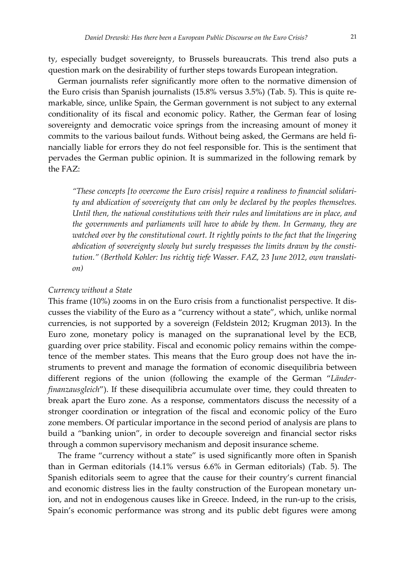ty, especially budget sovereignty, to Brussels bureaucrats. This trend also puts a question mark on the desirability of further steps towards European integration.

German journalists refer significantly more often to the normative dimension of the Euro crisis than Spanish journalists (15.8% versus 3.5%) (Tab. 5). This is quite re‐ markable, since, unlike Spain, the German government is not subject to any external conditionality of its fiscal and economic policy. Rather, the German fear of losing sovereignty and democratic voice springs from the increasing amount of money it commits to the various bailout funds. Without being asked, the Germans are held financially liable for errors they do not feel responsible for. This is the sentiment that pervades the German public opinion. It is summarized in the following remark by the FAZ:

*"These concepts [to overcome the Euro crisis] require a readiness to financial solidari‐ ty and abdication of sovereignty that can only be declared by the peoples themselves. Until then, the national constitutions with their rules and limitations are in place, and the governments and parliaments will have to abide by them. In Germany, they are watched over by the constitutional court. It rightly points to the fact that the lingering abdication of sovereignty slowly but surely trespasses the limits drawn by the consti‐ tution." (Berthold Kohler: Ins richtig tiefe Wasser. FAZ, 23 June 2012, own translati‐ on)*

#### *Currency without a State*

This frame (10%) zooms in on the Euro crisis from a functionalist perspective. It dis‐ cusses the viability of the Euro as a "currency without a state", which, unlike normal currencies, is not supported by a sovereign (Feldstein 2012; Krugman 2013). In the Euro zone, monetary policy is managed on the supranational level by the ECB, guarding over price stability. Fiscal and economic policy remains within the compe‐ tence of the member states. This means that the Euro group does not have the in‐ struments to prevent and manage the formation of economic disequilibria between different regions of the union (following the example of the German "*Länder‐ finanzausgleich*"). If these disequilibria accumulate over time, they could threaten to break apart the Euro zone. As a response, commentators discuss the necessity of a stronger coordination or integration of the fiscal and economic policy of the Euro zone members. Of particular importance in the second period of analysis are plans to build a "banking union", in order to decouple sovereign and financial sector risks through a common supervisory mechanism and deposit insurance scheme.

The frame "currency without a state" is used significantly more often in Spanish than in German editorials (14.1% versus 6.6% in German editorials) (Tab. 5). The Spanish editorials seem to agree that the cause for their country's current financial and economic distress lies in the faulty construction of the European monetary union, and not in endogenous causes like in Greece. Indeed, in the run‐up to the crisis, Spain's economic performance was strong and its public debt figures were among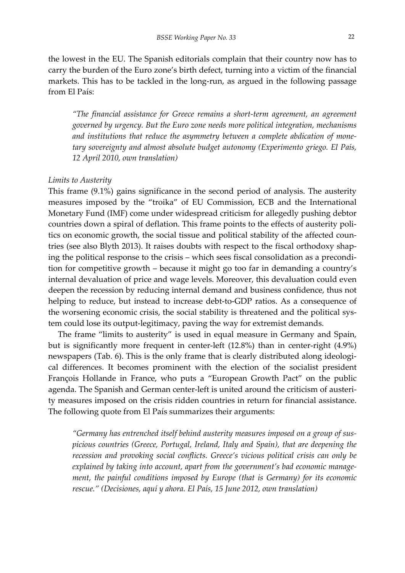the lowest in the EU. The Spanish editorials complain that their country now has to carry the burden of the Euro zone's birth defect, turning into a victim of the financial markets. This has to be tackled in the long‐run, as argued in the following passage from El País:

*"The financial assistance for Greece remains a short‐term agreement, an agreement governed by urgency. But the Euro zone needs more political integration, mechanisms and institutions that reduce the asymmetry between a complete abdication of mone‐ tary sovereignty and almost absolute budget autonomy (Experimento griego. El País, 12 April 2010, own translation)*

#### *Limits to Austerity*

This frame (9.1%) gains significance in the second period of analysis. The austerity measures imposed by the "troika" of EU Commission, ECB and the International Monetary Fund (IMF) come under widespread criticism for allegedly pushing debtor countries down a spiral of deflation. This frame points to the effects of austerity poli‐ tics on economic growth, the social tissue and political stability of the affected countries (see also Blyth 2013). It raises doubts with respect to the fiscal orthodoxy shaping the political response to the crisis – which sees fiscal consolidation as a precondition for competitive growth – because it might go too far in demanding a country's internal devaluation of price and wage levels. Moreover, this devaluation could even deepen the recession by reducing internal demand and business confidence, thus not helping to reduce, but instead to increase debt-to-GDP ratios. As a consequence of the worsening economic crisis, the social stability is threatened and the political system could lose its output‐legitimacy, paving the way for extremist demands.

The frame "limits to austerity" is used in equal measure in Germany and Spain, but is significantly more frequent in center‐left (12.8%) than in center‐right (4.9%) newspapers (Tab. 6). This is the only frame that is clearly distributed along ideological differences. It becomes prominent with the election of the socialist president François Hollande in France, who puts a "European Growth Pact" on the public agenda. The Spanish and German center‐left is united around the criticism of austeri‐ ty measures imposed on the crisis ridden countries in return for financial assistance. The following quote from El País summarizes their arguments:

*"Germany has entrenched itself behind austerity measures imposed on a group of sus‐ picious countries (Greece, Portugal, Ireland, Italy and Spain), that are deepening the recession and provoking social conflicts. Greece's vicious political crisis can only be explained by taking into account, apart from the government's bad economic manage‐ ment, the painful conditions imposed by Europe (that is Germany) for its economic rescue." (Decisiones, aquí y ahora. El País, 15 June 2012, own translation)*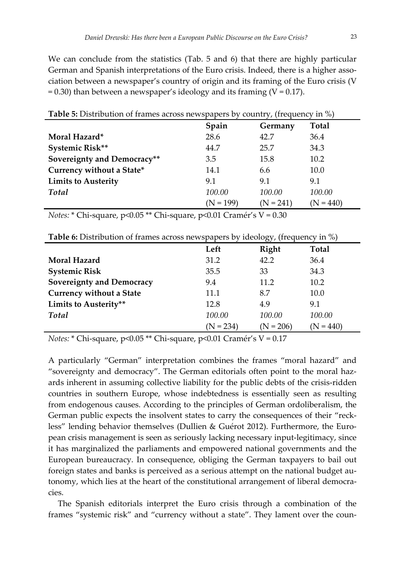We can conclude from the statistics (Tab. 5 and 6) that there are highly particular German and Spanish interpretations of the Euro crisis. Indeed, there is a higher association between a newspaper's country of origin and its framing of the Euro crisis (V  $= 0.30$ ) than between a newspaper's ideology and its framing (V = 0.17).

| <b>Table 5:</b> Distribution of frames across newspapers by country, (frequency in $\%$ ) |             |             |              |  |
|-------------------------------------------------------------------------------------------|-------------|-------------|--------------|--|
|                                                                                           | Spain       | Germany     | <b>Total</b> |  |
| Moral Hazard*                                                                             | 28.6        | 42.7        | 36.4         |  |
| Systemic Risk**                                                                           | 44.7        | 25.7        | 34.3         |  |
| Sovereignty and Democracy**                                                               | 3.5         | 15.8        | 10.2         |  |
| Currency without a State*                                                                 | 14.1        | 6.6         | 10.0         |  |
| <b>Limits to Austerity</b>                                                                | 9.1         | 9.1         | 9.1          |  |
| Total                                                                                     | 100.00      | 100.00      | 100.00       |  |
|                                                                                           | $(N = 199)$ | $(N = 241)$ | $N = 440$    |  |

*Notes:* \* Chi‐square, p<0.05 \*\* Chi‐square, p<0.01 Cramér's V = 0.30

| <b>THESE OF BIGGIN MILLER OF HUMILES METOSS HE HIS PUP CIS</b><br>$10000 \text{ m/s}$<br>$+1117$ |             |             |              |  |
|--------------------------------------------------------------------------------------------------|-------------|-------------|--------------|--|
|                                                                                                  | Left        | Right       | <b>Total</b> |  |
| Moral Hazard                                                                                     | 31.2        | 42.2        | 36.4         |  |
| <b>Systemic Risk</b>                                                                             | 35.5        | 33          | 34.3         |  |
| <b>Sovereignty and Democracy</b>                                                                 | 9.4         | 11.2        | 10.2         |  |
| <b>Currency without a State</b>                                                                  | 11.1        | 8.7         | 10.0         |  |
| Limits to Austerity**                                                                            | 12.8        | 4.9         | 9.1          |  |
| Total                                                                                            | 100.00      | 100.00      | 100.00       |  |
|                                                                                                  | $(N = 234)$ | $(N = 206)$ | $(N = 440)$  |  |

**Table 6:** Distribution of frames across newspapers by ideology, (frequency in %)

*Notes:* \* Chi‐square, p<0.05 \*\* Chi‐square, p<0.01 Cramér's V = 0.17

A particularly "German" interpretation combines the frames "moral hazard" and "sovereignty and democracy". The German editorials often point to the moral haz‐ ards inherent in assuming collective liability for the public debts of the crisis‐ridden countries in southern Europe, whose indebtedness is essentially seen as resulting from endogenous causes. According to the principles of German ordoliberalism, the German public expects the insolvent states to carry the consequences of their "reckless" lending behavior themselves (Dullien & Guérot 2012). Furthermore, the European crisis management is seen as seriously lacking necessary input‐legitimacy, since it has marginalized the parliaments and empowered national governments and the European bureaucracy. In consequence, obliging the German taxpayers to bail out foreign states and banks is perceived as a serious attempt on the national budget autonomy, which lies at the heart of the constitutional arrangement of liberal democra‐ cies.

The Spanish editorials interpret the Euro crisis through a combination of the frames "systemic risk" and "currency without a state". They lament over the coun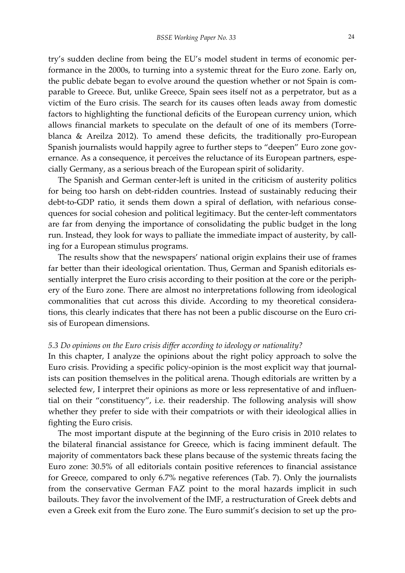try's sudden decline from being the EU's model student in terms of economic per‐ formance in the 2000s, to turning into a systemic threat for the Euro zone. Early on, the public debate began to evolve around the question whether or not Spain is comparable to Greece. But, unlike Greece, Spain sees itself not as a perpetrator, but as a victim of the Euro crisis. The search for its causes often leads away from domestic factors to highlighting the functional deficits of the European currency union, which allows financial markets to speculate on the default of one of its members (Torre‐ blanca & Areilza 2012). To amend these deficits, the traditionally pro‐European Spanish journalists would happily agree to further steps to "deepen" Euro zone governance. As a consequence, it perceives the reluctance of its European partners, especially Germany, as a serious breach of the European spirit of solidarity.

The Spanish and German center-left is united in the criticism of austerity politics for being too harsh on debt-ridden countries. Instead of sustainably reducing their debt-to-GDP ratio, it sends them down a spiral of deflation, with nefarious consequences for social cohesion and political legitimacy. But the center‐left commentators are far from denying the importance of consolidating the public budget in the long run. Instead, they look for ways to palliate the immediate impact of austerity, by calling for a European stimulus programs.

The results show that the newspapers' national origin explains their use of frames far better than their ideological orientation. Thus, German and Spanish editorials essentially interpret the Euro crisis according to their position at the core or the periphery of the Euro zone. There are almost no interpretations following from ideological commonalities that cut across this divide. According to my theoretical considerations, this clearly indicates that there has not been a public discourse on the Euro cri‐ sis of European dimensions.

#### *5.3 Do opinions on the Euro crisis differ according to ideology or nationality?*

In this chapter, I analyze the opinions about the right policy approach to solve the Euro crisis. Providing a specific policy-opinion is the most explicit way that journalists can position themselves in the political arena. Though editorials are written by a selected few, I interpret their opinions as more or less representative of and influential on their "constituency", i.e. their readership. The following analysis will show whether they prefer to side with their compatriots or with their ideological allies in fighting the Euro crisis.

The most important dispute at the beginning of the Euro crisis in 2010 relates to the bilateral financial assistance for Greece, which is facing imminent default. The majority of commentators back these plans because of the systemic threats facing the Euro zone: 30.5% of all editorials contain positive references to financial assistance for Greece, compared to only 6.7% negative references (Tab. 7). Only the journalists from the conservative German FAZ point to the moral hazards implicit in such bailouts. They favor the involvement of the IMF, a restructuration of Greek debts and even a Greek exit from the Euro zone. The Euro summit's decision to set up the pro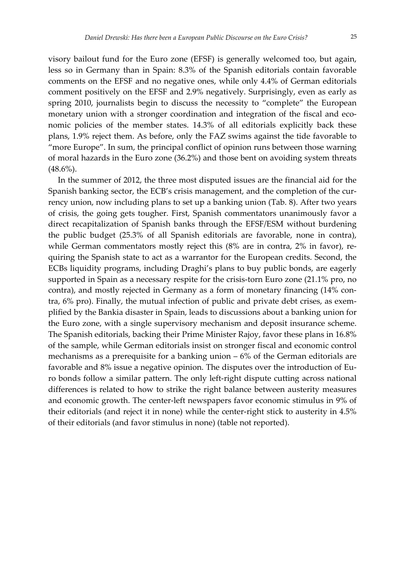visory bailout fund for the Euro zone (EFSF) is generally welcomed too, but again, less so in Germany than in Spain: 8.3% of the Spanish editorials contain favorable comments on the EFSF and no negative ones, while only 4.4% of German editorials comment positively on the EFSF and 2.9% negatively. Surprisingly, even as early as spring 2010, journalists begin to discuss the necessity to "complete" the European monetary union with a stronger coordination and integration of the fiscal and economic policies of the member states. 14.3% of all editorials explicitly back these plans, 1.9% reject them. As before, only the FAZ swims against the tide favorable to "more Europe". In sum, the principal conflict of opinion runs between those warning of moral hazards in the Euro zone (36.2%) and those bent on avoiding system threats  $(48.6\%)$ .

In the summer of 2012, the three most disputed issues are the financial aid for the Spanish banking sector, the ECB's crisis management, and the completion of the currency union, now including plans to set up a banking union (Tab. 8). After two years of crisis, the going gets tougher. First, Spanish commentators unanimously favor a direct recapitalization of Spanish banks through the EFSF/ESM without burdening the public budget (25.3% of all Spanish editorials are favorable, none in contra), while German commentators mostly reject this (8% are in contra, 2% in favor), requiring the Spanish state to act as a warrantor for the European credits. Second, the ECBs liquidity programs, including Draghi's plans to buy public bonds, are eagerly supported in Spain as a necessary respite for the crisis-torn Euro zone (21.1% pro, no contra), and mostly rejected in Germany as a form of monetary financing (14% contra, 6% pro). Finally, the mutual infection of public and private debt crises, as exem‐ plified by the Bankia disaster in Spain, leads to discussions about a banking union for the Euro zone, with a single supervisory mechanism and deposit insurance scheme. The Spanish editorials, backing their Prime Minister Rajoy, favor these plans in 16.8% of the sample, while German editorials insist on stronger fiscal and economic control mechanisms as a prerequisite for a banking union – 6% of the German editorials are favorable and 8% issue a negative opinion. The disputes over the introduction of Eu‐ ro bonds follow a similar pattern. The only left‐right dispute cutting across national differences is related to how to strike the right balance between austerity measures and economic growth. The center‐left newspapers favor economic stimulus in 9% of their editorials (and reject it in none) while the center‐right stick to austerity in 4.5% of their editorials (and favor stimulus in none) (table not reported).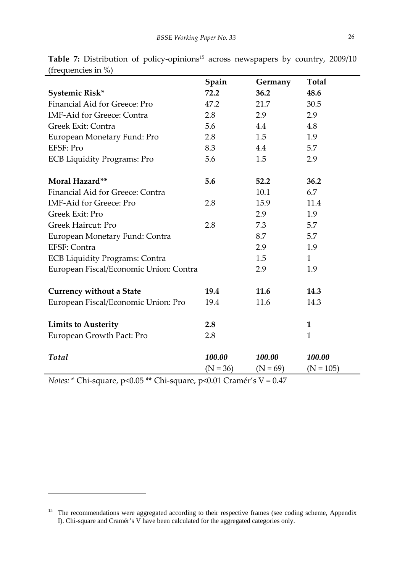|                                        | Spain      | Germany    | <b>Total</b> |
|----------------------------------------|------------|------------|--------------|
| Systemic Risk*                         | 72.2       | 36.2       | 48.6         |
| Financial Aid for Greece: Pro          | 47.2       | 21.7       | 30.5         |
| <b>IMF-Aid for Greece: Contra</b>      | 2.8        | 2.9        | 2.9          |
| Greek Exit: Contra                     | 5.6        | 4.4        | 4.8          |
| European Monetary Fund: Pro            | 2.8        | 1.5        | 1.9          |
| EFSF: Pro                              | 8.3        | 4.4        | 5.7          |
| <b>ECB Liquidity Programs: Pro</b>     | 5.6        | 1.5        | 2.9          |
| Moral Hazard**                         | 5.6        | 52.2       | 36.2         |
| Financial Aid for Greece: Contra       |            | 10.1       | 6.7          |
| <b>IMF-Aid for Greece: Pro</b>         | 2.8        | 15.9       | 11.4         |
| Greek Exit: Pro                        |            | 2.9        | 1.9          |
| <b>Greek Haircut: Pro</b>              | 2.8        | 7.3        | 5.7          |
| European Monetary Fund: Contra         |            | 8.7        | 5.7          |
| EFSF: Contra                           |            | 2.9        | 1.9          |
| <b>ECB Liquidity Programs: Contra</b>  |            | 1.5        | 1            |
| European Fiscal/Economic Union: Contra |            | 2.9        | 1.9          |
| <b>Currency without a State</b>        | 19.4       | 11.6       | 14.3         |
| European Fiscal/Economic Union: Pro    | 19.4       | 11.6       | 14.3         |
| <b>Limits to Austerity</b>             | 2.8        |            | 1            |
| European Growth Pact: Pro              | 2.8        |            | $\mathbf{1}$ |
| Total                                  | 100.00     | 100.00     | 100.00       |
|                                        | $(N = 36)$ | $(N = 69)$ | $(N = 105)$  |

**Table 7:** Distribution of policy-opinions<sup>15</sup> across newspapers by country, 2009/10 (frequencies in %)

*Notes:* \* Chi‐square, p<0.05 \*\* Chi‐square, p<0.01 Cramér's V = 0.47

<sup>&</sup>lt;sup>15</sup> The recommendations were aggregated according to their respective frames (see coding scheme, Appendix I). Chi-square and Cramér's V have been calculated for the aggregated categories only.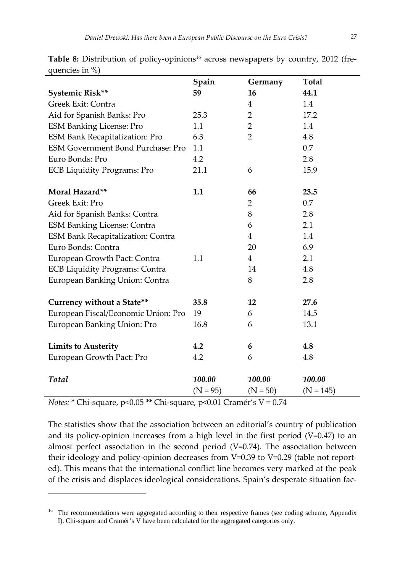|                                          | Spain      | Germany        | <b>Total</b> |
|------------------------------------------|------------|----------------|--------------|
| Systemic Risk**                          | 59         | 16             | 44.1         |
| Greek Exit: Contra                       |            | $\overline{4}$ | 1.4          |
| Aid for Spanish Banks: Pro               | 25.3       | 2              | 17.2         |
| <b>ESM Banking License: Pro</b>          | 1.1        | $\overline{2}$ | 1.4          |
| <b>ESM Bank Recapitalization: Pro</b>    | 6.3        | $\overline{2}$ | 4.8          |
| <b>ESM Government Bond Purchase: Pro</b> | 1.1        |                | 0.7          |
| Euro Bonds: Pro                          | 4.2        |                | 2.8          |
| <b>ECB Liquidity Programs: Pro</b>       | 21.1       | 6              | 15.9         |
| Moral Hazard**                           | 1.1        | 66             | 23.5         |
| Greek Exit: Pro                          |            | $\overline{2}$ | 0.7          |
| Aid for Spanish Banks: Contra            |            | 8              | 2.8          |
| <b>ESM Banking License: Contra</b>       |            | 6              | 2.1          |
| <b>ESM Bank Recapitalization: Contra</b> |            | $\overline{4}$ | 1.4          |
| Euro Bonds: Contra                       |            | 20             | 6.9          |
| European Growth Pact: Contra             | 1.1        | $\overline{4}$ | 2.1          |
| <b>ECB Liquidity Programs: Contra</b>    |            | 14             | 4.8          |
| European Banking Union: Contra           |            | 8              | 2.8          |
|                                          |            |                |              |
| Currency without a State**               | 35.8       | 12             | 27.6         |
| European Fiscal/Economic Union: Pro      | 19         | 6              | 14.5         |
| European Banking Union: Pro              | 16.8       | 6              | 13.1         |
| <b>Limits to Austerity</b>               | 4.2        | 6              | 4.8          |
| European Growth Pact: Pro                | 4.2        | 6              | 4.8          |
| <b>Total</b>                             | 100.00     | 100.00         | 100.00       |
|                                          | $(N = 95)$ | $(N = 50)$     | $(N = 145)$  |

Table 8: Distribution of policy-opinions<sup>16</sup> across newspapers by country, 2012 (frequencies in %)

*Notes:* \* Chi‐square, p<0.05 \*\* Chi‐square, p<0.01 Cramér's V = 0.74

The statistics show that the association between an editorial's country of publication and its policy-opinion increases from a high level in the first period  $(V=0.47)$  to an almost perfect association in the second period (V=0.74). The association between their ideology and policy-opinion decreases from V=0.39 to V=0.29 (table not reported). This means that the international conflict line becomes very marked at the peak of the crisis and displaces ideological considerations. Spain's desperate situation fac‐

<sup>&</sup>lt;sup>16</sup> The recommendations were aggregated according to their respective frames (see coding scheme, Appendix I). Chi-square and Cramér's V have been calculated for the aggregated categories only.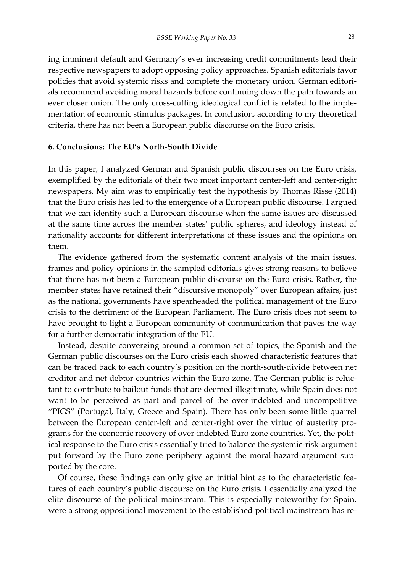ing imminent default and Germany's ever increasing credit commitments lead their respective newspapers to adopt opposing policy approaches. Spanish editorials favor policies that avoid systemic risks and complete the monetary union. German editorials recommend avoiding moral hazards before continuing down the path towards an ever closer union. The only cross-cutting ideological conflict is related to the implementation of economic stimulus packages. In conclusion, according to my theoretical criteria, there has not been a European public discourse on the Euro crisis.

#### **6. Conclusions: The EU's North‐South Divide**

In this paper, I analyzed German and Spanish public discourses on the Euro crisis, exemplified by the editorials of their two most important center-left and center-right newspapers. My aim was to empirically test the hypothesis by Thomas Risse (2014) that the Euro crisis has led to the emergence of a European public discourse. I argued that we can identify such a European discourse when the same issues are discussed at the same time across the member states' public spheres, and ideology instead of nationality accounts for different interpretations of these issues and the opinions on them.

The evidence gathered from the systematic content analysis of the main issues, frames and policy‐opinions in the sampled editorials gives strong reasons to believe that there has not been a European public discourse on the Euro crisis. Rather, the member states have retained their "discursive monopoly" over European affairs, just as the national governments have spearheaded the political management of the Euro crisis to the detriment of the European Parliament. The Euro crisis does not seem to have brought to light a European community of communication that paves the way for a further democratic integration of the EU.

Instead, despite converging around a common set of topics, the Spanish and the German public discourses on the Euro crisis each showed characteristic features that can be traced back to each country's position on the north‐south‐divide between net creditor and net debtor countries within the Euro zone. The German public is reluc‐ tant to contribute to bailout funds that are deemed illegitimate, while Spain does not want to be perceived as part and parcel of the over-indebted and uncompetitive "PIGS" (Portugal, Italy, Greece and Spain). There has only been some little quarrel between the European center-left and center-right over the virtue of austerity programs for the economic recovery of over-indebted Euro zone countries. Yet, the political response to the Euro crisis essentially tried to balance the systemic‐risk‐argument put forward by the Euro zone periphery against the moral-hazard-argument supported by the core.

Of course, these findings can only give an initial hint as to the characteristic fea‐ tures of each country's public discourse on the Euro crisis. I essentially analyzed the elite discourse of the political mainstream. This is especially noteworthy for Spain, were a strong oppositional movement to the established political mainstream has re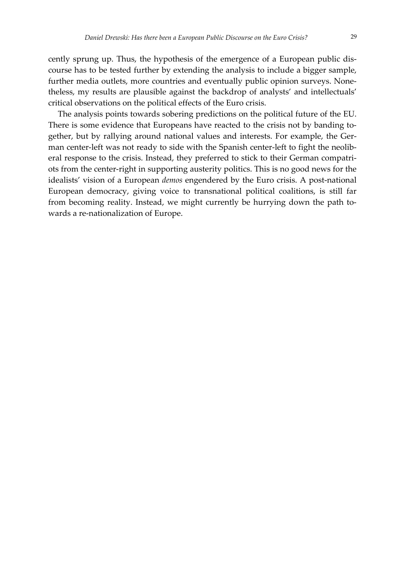cently sprung up. Thus, the hypothesis of the emergence of a European public dis‐ course has to be tested further by extending the analysis to include a bigger sample, further media outlets, more countries and eventually public opinion surveys. Nonetheless, my results are plausible against the backdrop of analysts' and intellectuals' critical observations on the political effects of the Euro crisis.

The analysis points towards sobering predictions on the political future of the EU. There is some evidence that Europeans have reacted to the crisis not by banding together, but by rallying around national values and interests. For example, the Ger‐ man center-left was not ready to side with the Spanish center-left to fight the neoliberal response to the crisis. Instead, they preferred to stick to their German compatriots from the center‐right in supporting austerity politics. This is no good news for the idealists' vision of a European *demos* engendered by the Euro crisis. A post-national European democracy, giving voice to transnational political coalitions, is still far from becoming reality. Instead, we might currently be hurrying down the path towards a re-nationalization of Europe.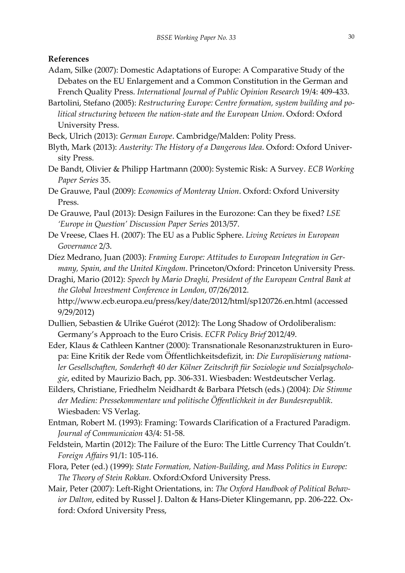#### **References**

- Adam, Silke (2007): Domestic Adaptations of Europe: A Comparative Study of the Debates on the EU Enlargement and a Common Constitution in the German and French Quality Press. *International Journal of Public Opinion Research* 19/4: 409‐433.
- Bartolini, Stefano (2005): *Restructuring Europe: Centre formation, system building and po‐ litical structuring between the nation‐state and the European Union*. Oxford: Oxford University Press.
- Beck, Ulrich (2013): *German Europe*. Cambridge/Malden: Polity Press.
- Blyth, Mark (2013): *Austerity: The History of a Dangerous Idea*. Oxford: Oxford Univer‐ sity Press.
- De Bandt, Olivier & Philipp Hartmann (2000): Systemic Risk: A Survey. *ECB Working Paper Series* 35.
- De Grauwe, Paul (2009): *Economics of Monteray Union*. Oxford: Oxford University Press.
- De Grauwe, Paul (2013): Design Failures in the Eurozone: Can they be fixed? *LSE 'Europe in Question' Discussion Paper Series* 2013/57.
- De Vreese, Claes H. (2007): The EU as a Public Sphere. *Living Reviews in European Governance* 2/3.
- Díez Medrano, Juan (2003): *Framing Europe: Attitudes to European Integration in Ger‐ many, Spain, and the United Kingdom*. Princeton/Oxford: Princeton University Press.
- Draghi, Mario (2012): *Speech by Mario Draghi, President of the European Central Bank at the Global Investment Conference in London*, 07/26/2012. http://www.ecb.europa.eu/press/key/date/2012/html/sp120726.en.html (accessed 9/29/2012)
- Dullien, Sebastien & Ulrike Guérot (2012): The Long Shadow of Ordoliberalism: Germany's Approach to the Euro Crisis. *ECFR Policy Brief* 2012/49.
- Eder, Klaus & Cathleen Kantner (2000): Transnationale Resonanzstrukturen in Euro‐ pa: Eine Kritik der Rede vom Öffentlichkeitsdefizit, in: *Die Europäisierung nationa‐ ler Gesellschaften, Sonderheft 40 der Kölner Zeitschrift für Soziologie und Sozialpsycholo‐ gie*, edited by Maurizio Bach, pp. 306‐331. Wiesbaden: Westdeutscher Verlag.
- Eilders, Christiane, Friedhelm Neidhardt & Barbara Pfetsch (eds.) (2004): *Die Stimme der Medien: Pressekommentare und politische Öffentlichkeit in der Bundesrepublik*. Wiesbaden: VS Verlag.
- Entman, Robert M. (1993): Framing: Towards Clarification of a Fractured Paradigm. *Journal of Communicaion* 43/4: 51‐58.
- Feldstein, Martin (2012): The Failure of the Euro: The Little Currency That Couldn't. *Foreign Affairs* 91/1: 105‐116.
- Flora, Peter (ed.) (1999): *State Formation, Nation‐Building, and Mass Politics in Europe: The Theory of Stein Rokkan*. Oxford:Oxford University Press.
- Mair, Peter (2007): Left‐Right Orientations, in: *The Oxford Handbook of Political Behav‐ ior Dalton*, edited by Russel J. Dalton & Hans‐Dieter Klingemann, pp. 206‐222. Ox‐ ford: Oxford University Press,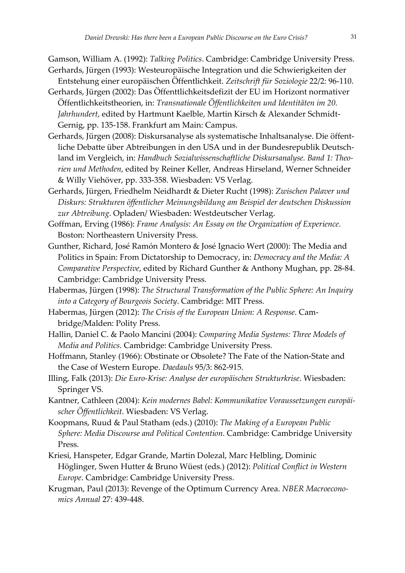Gamson, William A. (1992): *Talking Politics*. Cambridge: Cambridge University Press.

- Gerhards, Jürgen (1993): Westeuropäische Integration und die Schwierigkeiten der Entstehung einer europäischen Öffentlichkeit. *Zeitschrift für Soziologie* 22/2: 96‐110.
- Gerhards, Jürgen (2002): Das Öffenttlichkeitsdefizit der EU im Horizont normativer Öffentlichkeitstheorien, in: *Transnationale Öffentlichkeiten und Identitäten im 20. Jahrhundert*, edited by Hartmunt Kaelble, Martin Kirsch & Alexander Schmidt‐ Gernig, pp. 135‐158. Frankfurt am Main: Campus.
- Gerhards, Jürgen (2008): Diskursanalyse als systematische Inhaltsanalyse. Die öffent‐ liche Debatte über Abtreibungen in den USA und in der Bundesrepublik Deutsch‐ land im Vergleich, in: *Handbuch Sozialwissenschaftliche Diskursanalyse. Band 1: Theo‐ rien und Methoden*, edited by Reiner Keller, Andreas Hirseland, Werner Schneider & Willy Viehöver, pp. 333‐358. Wiesbaden: VS Verlag.
- Gerhards, Jürgen, Friedhelm Neidhardt & Dieter Rucht (1998): *Zwischen Palaver und Diskurs: Strukturen öffentlicher Meinungsbildung am Beispiel der deutschen Diskussion zur Abtreibung*. Opladen/ Wiesbaden: Westdeutscher Verlag.
- Goffman, Erving (1986): *Frame Analysis: An Essay on the Organization of Experience*. Boston: Northeastern University Press.
- Gunther, Richard, José Ramón Montero & José Ignacio Wert (2000): The Media and Politics in Spain: From Dictatorship to Democracy, in: *Democracy and the Media: A Comparative Perspective*, edited by Richard Gunther & Anthony Mughan, pp. 28‐84. Cambridge: Cambridge University Press.
- Habermas, Jürgen (1998): *The Structural Transformation of the Public Sphere: An Inquiry into a Category of Bourgeois Society*. Cambridge: MIT Press.
- Habermas, Jürgen (2012): *The Crisis of the European Union: A Response*. Cam‐ bridge/Malden: Polity Press.
- Hallin, Daniel C. & Paolo Mancini (2004): *Comparing Media Systems: Three Models of Media and Politics*. Cambridge: Cambridge University Press.
- Hoffmann, Stanley (1966): Obstinate or Obsolete? The Fate of the Nation‐State and the Case of Western Europe. *Daedauls* 95/3: 862‐915.
- Illing, Falk (2013): *Die Euro‐Krise: Analyse der europäischen Strukturkrise*. Wiesbaden: Springer VS.
- Kantner, Cathleen (2004): *Kein modernes Babel: Kommunikative Voraussetzungen europäi‐ scher Öffentlichkeit*. Wiesbaden: VS Verlag.
- Koopmans, Ruud & Paul Statham (eds.) (2010): *The Making of a European Public Sphere: Media Discourse and Political Contention*. Cambridge: Cambridge University Press.
- Kriesi, Hanspeter, Edgar Grande, Martin Dolezal, Marc Helbling, Dominic Höglinger, Swen Hutter & Bruno Wüest (eds.) (2012): *Political Conflict in Western Europe*. Cambridge: Cambridge University Press.
- Krugman, Paul (2013): Revenge of the Optimum Currency Area. *NBER Macroecono‐ mics Annual* 27: 439‐448.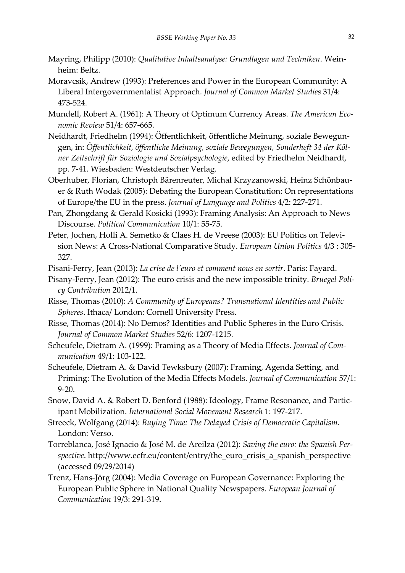- Mayring, Philipp (2010): *Qualitative Inhaltsanalyse: Grundlagen und Techniken*. Wein‐ heim: Beltz.
- Moravcsik, Andrew (1993): Preferences and Power in the European Community: A Liberal Intergovernmentalist Approach. *Journal of Common Market Studies* 31/4: 473‐524.
- Mundell, Robert A. (1961): A Theory of Optimum Currency Areas. *The American Eco‐ nomic Review* 51/4: 657‐665.
- Neidhardt, Friedhelm (1994): Öffentlichkeit, öffentliche Meinung, soziale Bewegun‐ gen, in: *Öffentlichkeit, öffentliche Meinung, soziale Bewegungen, Sonderheft 34 der Köl‐ ner Zeitschrift für Soziologie und Sozialpsychologie*, edited by Friedhelm Neidhardt, pp. 7‐41. Wiesbaden: Westdeutscher Verlag.
- Oberhuber, Florian, Christoph Bärenreuter, Michal Krzyzanowski, Heinz Schönbau‐ er & Ruth Wodak (2005): Debating the European Constitution: On representations of Europe/the EU in the press. *Journal of Language and Politics* 4/2: 227‐271.
- Pan, Zhongdang & Gerald Kosicki (1993): Framing Analysis: An Approach to News Discourse. *Political Communication* 10/1: 55‐75.
- Peter, Jochen, Holli A. Semetko & Claes H. de Vreese (2003): EU Politics on Televi‐ sion News: A Cross‐National Comparative Study. *European Union Politics* 4/3 : 305‐ 327.
- Pisani‐Ferry, Jean (2013): *La crise de l'euro et comment nous en sortir*. Paris: Fayard.
- Pisany‐Ferry, Jean (2012): The euro crisis and the new impossible trinity. *Bruegel Poli‐ cy Contribution* 2012/1.
- Risse, Thomas (2010): *A Community of Europeans? Transnational Identities and Public Spheres*. Ithaca/ London: Cornell University Press.
- Risse, Thomas (2014): No Demos? Identities and Public Spheres in the Euro Crisis. *Journal of Common Market Studies* 52/6: 1207‐1215.
- Scheufele, Dietram A. (1999): Framing as a Theory of Media Effects. *Journal of Com‐ munication* 49/1: 103‐122.
- Scheufele, Dietram A. & David Tewksbury (2007): Framing, Agenda Setting, and Priming: The Evolution of the Media Effects Models. *Journal of Communication* 57/1: 9‐20.
- Snow, David A. & Robert D. Benford (1988): Ideology, Frame Resonance, and Partic‐ ipant Mobilization. *International Social Movement Research* 1: 197‐217.
- Streeck, Wolfgang (2014): *Buying Time: The Delayed Crisis of Democratic Capitalism*. London: Verso.
- Torreblanca, José Ignacio & José M. de Areilza (2012): *Saving the euro: the Spanish Per‐ spective*. http://www.ecfr.eu/content/entry/the\_euro\_crisis\_a\_spanish\_perspective (accessed 09/29/2014)
- Trenz, Hans‐Jörg (2004): Media Coverage on European Governance: Exploring the European Public Sphere in National Quality Newspapers. *European Journal of Communication* 19/3: 291‐319.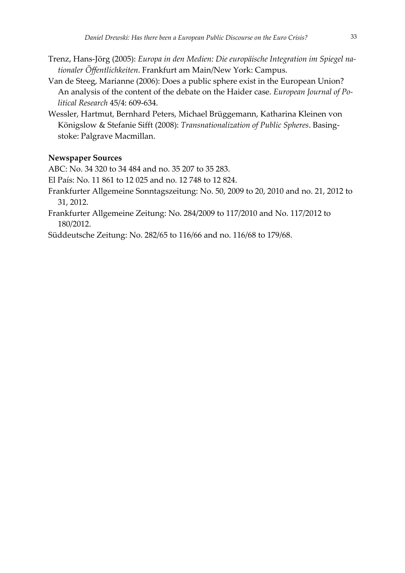- Trenz, Hans‐Jörg (2005): *Europa in den Medien: Die europäische Integration im Spiegel na‐ tionaler Öffentlichkeiten*. Frankfurt am Main/New York: Campus.
- Van de Steeg, Marianne (2006): Does a public sphere exist in the European Union? An analysis of the content of the debate on the Haider case. *European Journal of Po‐ litical Research* 45/4: 609‐634.
- Wessler, Hartmut, Bernhard Peters, Michael Brüggemann, Katharina Kleinen von Königslow & Stefanie Sifft (2008): *Transnationalization of Public Spheres*. Basing‐ stoke: Palgrave Macmillan.

#### **Newspaper Sources**

ABC: No. 34 320 to 34 484 and no. 35 207 to 35 283.

El País: No. 11 861 to 12 025 and no. 12 748 to 12 824.

- Frankfurter Allgemeine Sonntagszeitung: No. 50, 2009 to 20, 2010 and no. 21, 2012 to 31, 2012.
- Frankfurter Allgemeine Zeitung: No. 284/2009 to 117/2010 and No. 117/2012 to 180/2012.

Süddeutsche Zeitung: No. 282/65 to 116/66 and no. 116/68 to 179/68.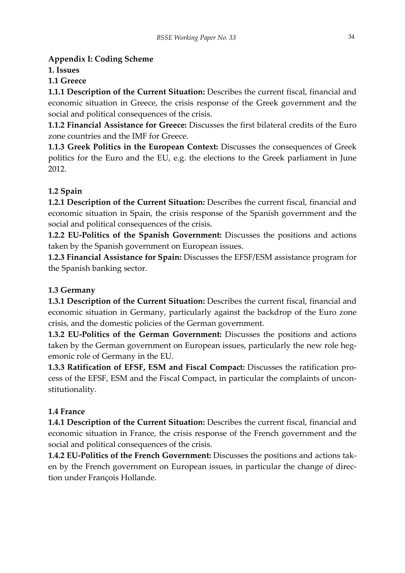### **Appendix I: Coding Scheme**

**1. Issues**

### **1.1 Greece**

**1.1.1 Description of the Current Situation:** Describes the current fiscal, financial and economic situation in Greece, the crisis response of the Greek government and the social and political consequences of the crisis.

**1.1.2 Financial Assistance for Greece:** Discusses the first bilateral credits of the Euro zone countries and the IMF for Greece.

**1.1.3 Greek Politics in the European Context:** Discusses the consequences of Greek politics for the Euro and the EU, e.g. the elections to the Greek parliament in June 2012.

### **1.2 Spain**

**1.2.1 Description of the Current Situation:** Describes the current fiscal, financial and economic situation in Spain, the crisis response of the Spanish government and the social and political consequences of the crisis.

**1.2.2 EU‐Politics of the Spanish Government:** Discusses the positions and actions taken by the Spanish government on European issues.

**1.2.3 Financial Assistance for Spain:** Discusses the EFSF/ESM assistance program for the Spanish banking sector.

### **1.3 Germany**

**1.3.1 Description of the Current Situation:** Describes the current fiscal, financial and economic situation in Germany, particularly against the backdrop of the Euro zone crisis, and the domestic policies of the German government.

**1.3.2 EU‐Politics of the German Government:** Discusses the positions and actions taken by the German government on European issues, particularly the new role hegemonic role of Germany in the EU.

**1.3.3 Ratification of EFSF, ESM and Fiscal Compact:** Discusses the ratification pro‐ cess of the EFSF, ESM and the Fiscal Compact, in particular the complaints of uncon‐ stitutionality.

### **1.4 France**

**1.4.1 Description of the Current Situation:** Describes the current fiscal, financial and economic situation in France, the crisis response of the French government and the social and political consequences of the crisis.

**1.4.2 EU‐Politics of the French Government:** Discusses the positions and actions tak‐ en by the French government on European issues, in particular the change of direction under François Hollande.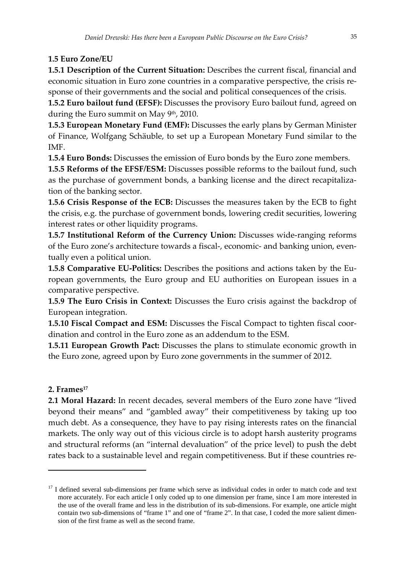### **1.5 Euro Zone/EU**

**1.5.1 Description of the Current Situation:** Describes the current fiscal, financial and economic situation in Euro zone countries in a comparative perspective, the crisis re‐ sponse of their governments and the social and political consequences of the crisis.

**1.5.2 Euro bailout fund (EFSF):** Discusses the provisory Euro bailout fund, agreed on during the Euro summit on May 9<sup>th</sup>, 2010.

**1.5.3 European Monetary Fund (EMF):** Discusses the early plans by German Minister of Finance, Wolfgang Schäuble, to set up a European Monetary Fund similar to the IMF.

**1.5.4 Euro Bonds:** Discusses the emission of Euro bonds by the Euro zone members.

**1.5.5 Reforms of the EFSF/ESM:** Discusses possible reforms to the bailout fund, such as the purchase of government bonds, a banking license and the direct recapitalization of the banking sector.

**1.5.6 Crisis Response of the ECB:** Discusses the measures taken by the ECB to fight the crisis, e.g. the purchase of government bonds, lowering credit securities, lowering interest rates or other liquidity programs.

**1.5.7 Institutional Reform of the Currency Union:** Discusses wide‐ranging reforms of the Euro zone's architecture towards a fiscal‐, economic‐ and banking union, even‐ tually even a political union.

**1.5.8 Comparative EU-Politics:** Describes the positions and actions taken by the European governments, the Euro group and EU authorities on European issues in a comparative perspective.

**1.5.9 The Euro Crisis in Context:** Discusses the Euro crisis against the backdrop of European integration.

**1.5.10 Fiscal Compact and ESM:** Discusses the Fiscal Compact to tighten fiscal coor‐ dination and control in the Euro zone as an addendum to the ESM.

**1.5.11 European Growth Pact:** Discusses the plans to stimulate economic growth in the Euro zone, agreed upon by Euro zone governments in the summer of 2012.

### **2. Frames17**

**2.1 Moral Hazard:** In recent decades, several members of the Euro zone have "lived beyond their means" and "gambled away" their competitiveness by taking up too much debt. As a consequence, they have to pay rising interests rates on the financial markets. The only way out of this vicious circle is to adopt harsh austerity programs and structural reforms (an "internal devaluation" of the price level) to push the debt rates back to a sustainable level and regain competitiveness. But if these countries re‐

<sup>&</sup>lt;sup>17</sup> I defined several sub-dimensions per frame which serve as individual codes in order to match code and text more accurately. For each article I only coded up to one dimension per frame, since I am more interested in the use of the overall frame and less in the distribution of its sub-dimensions. For example, one article might contain two sub-dimensions of "frame 1" and one of "frame 2". In that case, I coded the more salient dimension of the first frame as well as the second frame.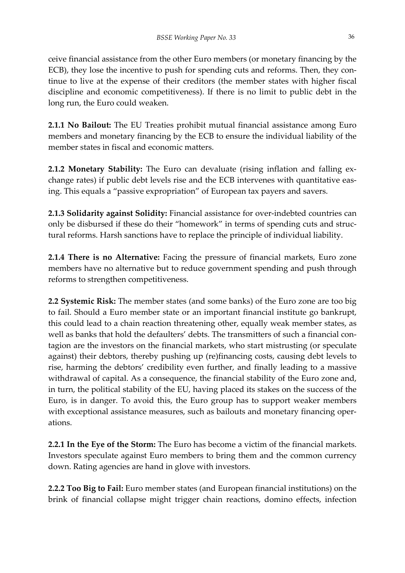ceive financial assistance from the other Euro members (or monetary financing by the ECB), they lose the incentive to push for spending cuts and reforms. Then, they continue to live at the expense of their creditors (the member states with higher fiscal discipline and economic competitiveness). If there is no limit to public debt in the long run, the Euro could weaken.

**2.1.1 No Bailout:** The EU Treaties prohibit mutual financial assistance among Euro members and monetary financing by the ECB to ensure the individual liability of the member states in fiscal and economic matters.

**2.1.2 Monetary Stability:** The Euro can devaluate (rising inflation and falling ex‐ change rates) if public debt levels rise and the ECB intervenes with quantitative eas‐ ing. This equals a "passive expropriation" of European tax payers and savers.

**2.1.3 Solidarity against Solidity:** Financial assistance for over‐indebted countries can only be disbursed if these do their "homework" in terms of spending cuts and struc‐ tural reforms. Harsh sanctions have to replace the principle of individual liability.

**2.1.4 There is no Alternative:** Facing the pressure of financial markets, Euro zone members have no alternative but to reduce government spending and push through reforms to strengthen competitiveness.

**2.2 Systemic Risk:** The member states (and some banks) of the Euro zone are too big to fail. Should a Euro member state or an important financial institute go bankrupt, this could lead to a chain reaction threatening other, equally weak member states, as well as banks that hold the defaulters' debts. The transmitters of such a financial contagion are the investors on the financial markets, who start mistrusting (or speculate against) their debtors, thereby pushing up (re)financing costs, causing debt levels to rise, harming the debtors' credibility even further, and finally leading to a massive withdrawal of capital. As a consequence, the financial stability of the Euro zone and, in turn, the political stability of the EU, having placed its stakes on the success of the Euro, is in danger. To avoid this, the Euro group has to support weaker members with exceptional assistance measures, such as bailouts and monetary financing operations.

**2.2.1 In the Eye of the Storm:** The Euro has become a victim of the financial markets. Investors speculate against Euro members to bring them and the common currency down. Rating agencies are hand in glove with investors.

**2.2.2 Too Big to Fail:** Euro member states (and European financial institutions) on the brink of financial collapse might trigger chain reactions, domino effects, infection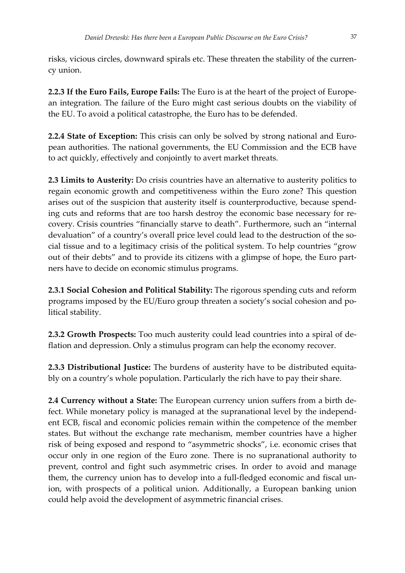risks, vicious circles, downward spirals etc. These threaten the stability of the curren‐ cy union.

**2.2.3 If the Euro Fails, Europe Fails:** The Euro is at the heart of the project of Europe‐ an integration. The failure of the Euro might cast serious doubts on the viability of the EU. To avoid a political catastrophe, the Euro has to be defended.

**2.2.4 State of Exception:** This crisis can only be solved by strong national and Euro‐ pean authorities. The national governments, the EU Commission and the ECB have to act quickly, effectively and conjointly to avert market threats.

**2.3 Limits to Austerity:** Do crisis countries have an alternative to austerity politics to regain economic growth and competitiveness within the Euro zone? This question arises out of the suspicion that austerity itself is counterproductive, because spend‐ ing cuts and reforms that are too harsh destroy the economic base necessary for recovery. Crisis countries "financially starve to death". Furthermore, such an "internal devaluation" of a country's overall price level could lead to the destruction of the social tissue and to a legitimacy crisis of the political system. To help countries "grow out of their debts" and to provide its citizens with a glimpse of hope, the Euro partners have to decide on economic stimulus programs.

**2.3.1 Social Cohesion and Political Stability:** The rigorous spending cuts and reform programs imposed by the EU/Euro group threaten a society's social cohesion and po‐ litical stability.

**2.3.2 Growth Prospects:** Too much austerity could lead countries into a spiral of de‐ flation and depression. Only a stimulus program can help the economy recover.

**2.3.3 Distributional Justice:** The burdens of austerity have to be distributed equita‐ bly on a country's whole population. Particularly the rich have to pay their share.

**2.4 Currency without a State:** The European currency union suffers from a birth de‐ fect. While monetary policy is managed at the supranational level by the independ‐ ent ECB, fiscal and economic policies remain within the competence of the member states. But without the exchange rate mechanism, member countries have a higher risk of being exposed and respond to "asymmetric shocks", i.e. economic crises that occur only in one region of the Euro zone. There is no supranational authority to prevent, control and fight such asymmetric crises. In order to avoid and manage them, the currency union has to develop into a full‐fledged economic and fiscal un‐ ion, with prospects of a political union. Additionally, a European banking union could help avoid the development of asymmetric financial crises.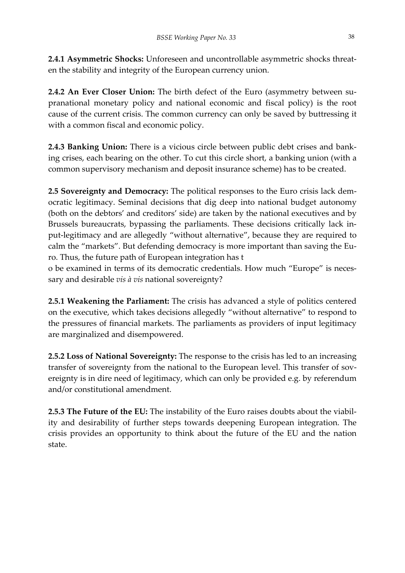**2.4.1 Asymmetric Shocks:** Unforeseen and uncontrollable asymmetric shocks threat‐ en the stability and integrity of the European currency union.

**2.4.2 An Ever Closer Union:** The birth defect of the Euro (asymmetry between su‐ pranational monetary policy and national economic and fiscal policy) is the root cause of the current crisis. The common currency can only be saved by buttressing it with a common fiscal and economic policy.

**2.4.3 Banking Union:** There is a vicious circle between public debt crises and bank‐ ing crises, each bearing on the other. To cut this circle short, a banking union (with a common supervisory mechanism and deposit insurance scheme) has to be created.

**2.5 Sovereignty and Democracy:** The political responses to the Euro crisis lack dem‐ ocratic legitimacy. Seminal decisions that dig deep into national budget autonomy (both on the debtors' and creditors' side) are taken by the national executives and by Brussels bureaucrats, bypassing the parliaments. These decisions critically lack in‐ put‐legitimacy and are allegedly "without alternative", because they are required to calm the "markets". But defending democracy is more important than saving the Euro. Thus, the future path of European integration has t

o be examined in terms of its democratic credentials. How much "Europe" is neces‐ sary and desirable *vis à vis* national sovereignty?

**2.5.1 Weakening the Parliament:** The crisis has advanced a style of politics centered on the executive, which takes decisions allegedly "without alternative" to respond to the pressures of financial markets. The parliaments as providers of input legitimacy are marginalized and disempowered.

**2.5.2 Loss of National Sovereignty:** The response to the crisis has led to an increasing transfer of sovereignty from the national to the European level. This transfer of sovereignty is in dire need of legitimacy, which can only be provided e.g. by referendum and/or constitutional amendment.

**2.5.3 The Future of the EU:** The instability of the Euro raises doubts about the viabil‐ ity and desirability of further steps towards deepening European integration. The crisis provides an opportunity to think about the future of the EU and the nation state.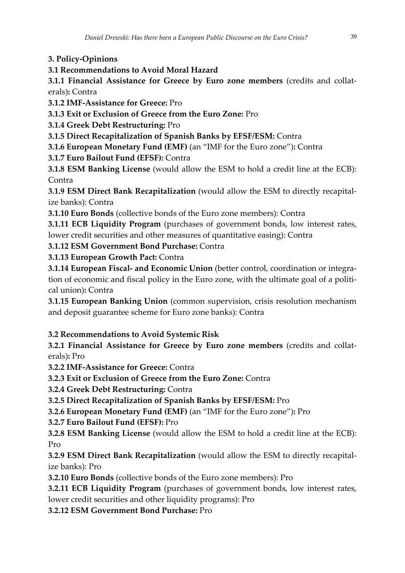**3. Policy‐Opinions**

**3.1 Recommendations to Avoid Moral Hazard**

**3.1.1 Financial Assistance for Greece by Euro zone members** (credits and collat‐ erals)**:** Contra

**3.1.2 IMF‐Assistance for Greece:** Pro

**3.1.3 Exit or Exclusion of Greece from the Euro Zone:** Pro

**3.1.4 Greek Debt Restructuring:** Pro

**3.1.5 Direct Recapitalization of Spanish Banks by EFSF/ESM:** Contra

**3.1.6 European Monetary Fund (EMF)** (an "IMF for the Euro zone")**:** Contra

**3.1.7 Euro Bailout Fund (EFSF):** Contra

**3.1.8 ESM Banking License** (would allow the ESM to hold a credit line at the ECB): **Contra** 

**3.1.9 ESM Direct Bank Recapitalization** (would allow the ESM to directly recapital‐ ize banks): Contra

**3.1.10 Euro Bonds** (collective bonds of the Euro zone members): Contra

**3.1.11 ECB Liquidity Program** (purchases of government bonds, low interest rates, lower credit securities and other measures of quantitative easing): Contra

**3.1.12 ESM Government Bond Purchase:** Contra

**3.1.13 European Growth Pact:** Contra

**3.1.14 European Fiscal‐ and Economic Union** (better control, coordination or integra‐ tion of economic and fiscal policy in the Euro zone, with the ultimate goal of a political union)**:** Contra

**3.1.15 European Banking Union** (common supervision, crisis resolution mechanism and deposit guarantee scheme for Euro zone banks): Contra

# **3.2 Recommendations to Avoid Systemic Risk**

**3.2.1 Financial Assistance for Greece by Euro zone members** (credits and collat‐ erals)**:** Pro

**3.2.2 IMF‐Assistance for Greece:** Contra

**3.2.3 Exit or Exclusion of Greece from the Euro Zone:** Contra

**3.2.4 Greek Debt Restructuring:** Contra

**3.2.5 Direct Recapitalization of Spanish Banks by EFSF/ESM:** Pro

**3.2.6 European Monetary Fund (EMF)** (an "IMF for the Euro zone")**:** Pro

**3.2.7 Euro Bailout Fund (EFSF):** Pro

**3.2.8 ESM Banking License** (would allow the ESM to hold a credit line at the ECB): Pro

**3.2.9 ESM Direct Bank Recapitalization** (would allow the ESM to directly recapital‐ ize banks): Pro

**3.2.10 Euro Bonds** (collective bonds of the Euro zone members): Pro

**3.2.11 ECB Liquidity Program** (purchases of government bonds, low interest rates, lower credit securities and other liquidity programs): Pro

**3.2.12 ESM Government Bond Purchase:** Pro